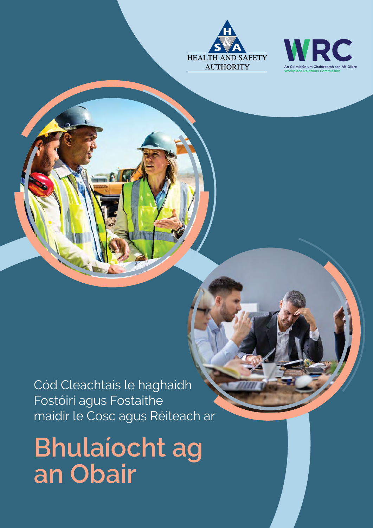



Cód Cleachtais le haghaidh Fostóirí agus Fostaithe maidir le Cosc agus Réiteach ar

# **Bhulaíocht ag an Obair**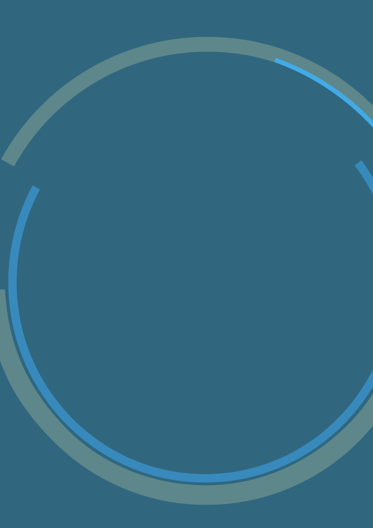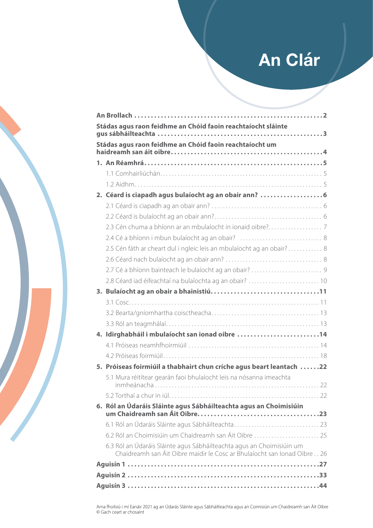# **An Clár**

| Stádas agus raon feidhme an Chóid faoin reachtaíocht sláinte                                                                                      |
|---------------------------------------------------------------------------------------------------------------------------------------------------|
| Stádas agus raon feidhme an Chóid faoin reachtaíocht um                                                                                           |
|                                                                                                                                                   |
|                                                                                                                                                   |
|                                                                                                                                                   |
|                                                                                                                                                   |
| 2. Céard is ciapadh agus bulaíocht ag an obair ann?                                                                                               |
|                                                                                                                                                   |
|                                                                                                                                                   |
|                                                                                                                                                   |
|                                                                                                                                                   |
| 2.5 Cén fáth ar cheart dul i ngleic leis an mbulaíocht ag an obair? 8                                                                             |
|                                                                                                                                                   |
| 2.7 Cé a bhíonn bainteach le bulaíocht ag an obair?  9                                                                                            |
| 2.8 Céard iad éifeachtaí na bulaíochta ag an obair?  10                                                                                           |
| 3. Bulaíocht ag an obair a bhainistiú11                                                                                                           |
|                                                                                                                                                   |
|                                                                                                                                                   |
|                                                                                                                                                   |
| 4. Idirghabháil i mbulaíocht san ionad oibre 14                                                                                                   |
|                                                                                                                                                   |
|                                                                                                                                                   |
| 5. Próiseas foirmiúil a thabhairt chun críche agus beart leantach 22<br>5.1 Mura réitítear gearán faoi bhulaíocht leis na nósanna imeachta        |
|                                                                                                                                                   |
|                                                                                                                                                   |
| 6. Ról an Údaráis Sláinte agus Sábháilteachta agus an Choimisiúin                                                                                 |
|                                                                                                                                                   |
| 6.2 Ról an Choimisiúin um Chaidreamh san Áit Oibre  25                                                                                            |
| 6.3 Ról an Údaráis Sláinte agus Sábháilteachta agus an Choimisiúin um<br>Chaidreamh san Áit Oibre maidir le Cosc ar Bhulaíocht san Ionad Oibre 26 |
|                                                                                                                                                   |
|                                                                                                                                                   |
|                                                                                                                                                   |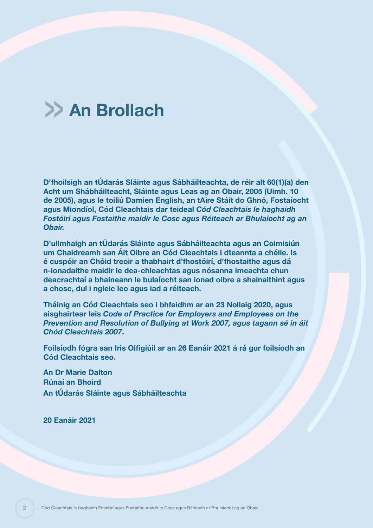# **>> An Brollach**

**Acht um Shábháilteacht, Sláinte agus Leas ag an Obair, 2005 (Uimh. 10 de 2005), agus le toiliú Damien English, an tAire Stáit do Ghnó, Fostaíocht agus Miondíol, Cód Cleachtais dar teideal** *Cód Cleachtais le haghaidh Fostóirí agus Fostaithe maidir le Cosc agus Réiteach ar Bhulaíocht ag an Obair.*

D'fhoilsigh an tUdarás Sláinte agus Sábháilteachta, de réir at 60(1)(a) den that for the réir at the cosc agus Réiteach ar Bhulaíochta agus Mónadúid, Cód Cleachtais le raiglais, an tAire Stáir do Ghnó, Fostaíocht agus Móna **D'ullmhaigh an tÚdarás Sláinte agus Sábháilteachta agus an Coimisiún um Chaidreamh san Áit Oibre an Cód Cleachtais i dteannta a chéile. Is é cuspóir an Chóid treoir a thabhairt d'fhostóirí, d'fhostaithe agus dá n-ionadaithe maidir le dea-chleachtas agus nósanna imeachta chun deacrachtaí a bhaineann le bulaíocht san ionad oibre a shainaithint agus a chosc, dul i ngleic leo agus iad a réiteach.**

**Tháinig an Cód Cleachtais seo i bhfeidhm ar an 23 Nollaig 2020, agus aisghairtear leis** *Code of Practice for Employers and Employees on the Prevention and Resolution of Bullying at Work 2007, agus tagann sé in áit Chód Cleachtais 2007***.**

**Foilsíodh fógra san Iris Oifigiúil ar an 26 Eanáir 2021 á rá gur foilsíodh an Cód Cleachtais seo.**

**An Dr Marie Dalton Rúnaí an Bhoird An tÚdarás Sláinte agus Sábháilteachta**

**20 Eanáir 2021**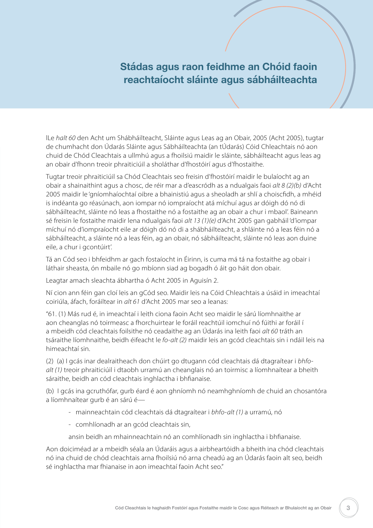# **Stádas agus raon feidhme an Chóid faoin reachtaíocht sláinte agus sábháilteachta**

lLe *halt 60* den Acht um Shábháilteacht, Sláinte agus Leas ag an Obair, 2005 (Acht 2005), tugtar de chumhacht don Údarás Sláinte agus Sábháilteachta (an tÚdarás) Cóid Chleachtais nó aon chuid de Chód Cleachtais a ullmhú agus a fhoilsiú maidir le sláinte, sábháilteacht agus leas ag an obair d'fhonn treoir phraiticiúil a sholáthar d'fhostóirí agus d'fhostaithe.

Tugtar treoir phraiticiúil sa Chód Cleachtais seo freisin d'fhostóirí maidir le bulaíocht ag an obair a shainaithint agus a chosc, de réir mar a d'eascródh as a ndualgais faoi *alt 8 (2)(b)* d'Acht 2005 maidir le 'gníomhaíochtaí oibre a bhainistiú agus a sheoladh ar shlí a choiscfidh, a mhéid is indéanta go réasúnach, aon iompar nó iompraíocht atá míchuí agus ar dóigh dó nó di sábháilteacht, sláinte nó leas a fhostaithe nó a fostaithe ag an obair a chur i mbaol'. Baineann sé freisin le fostaithe maidir lena ndualgais faoi *alt 13 (1)(e)* d'Acht 2005 gan gabháil 'd'iompar míchuí nó d'iompraíocht eile ar dóigh dó nó di a shábháilteacht, a shláinte nó a leas féin nó a sábháilteacht, a sláinte nó a leas féin, ag an obair, nó sábháilteacht, sláinte nó leas aon duine eile, a chur i gcontúirt'.

Tá an Cód seo i bhfeidhm ar gach fostaíocht in Éirinn, is cuma má tá na fostaithe ag obair i láthair sheasta, ón mbaile nó go mbíonn siad ag bogadh ó áit go háit don obair.

Leagtar amach sleachta ábhartha ó Acht 2005 in Aguisín 2.

Ní cion ann féin gan cloí leis an gCód seo. Maidir leis na Cóid Chleachtais a úsáid in imeachtaí coiriúla, áfach, foráiltear in *alt 61* d'Acht 2005 mar seo a leanas:

"61. (1) Más rud é, in imeachtaí i leith ciona faoin Acht seo maidir le sárú líomhnaithe ar aon cheanglas nó toirmeasc a fhorchuirtear le foráil reachtúil iomchuí nó fúithi ar foráil í a mbeidh cód cleachtais foilsithe nó ceadaithe ag an Údarás ina leith faoi *alt 60* tráth an tsáraithe líomhnaithe, beidh éifeacht le *fo-alt (2)* maidir leis an gcód cleachtais sin i ndáil leis na himeachtaí sin.

(2) (a) I gcás inar dealraitheach don chúirt go dtugann cód cleachtais dá dtagraítear i *bhfoalt (1)* treoir phraiticiúil i dtaobh urramú an cheanglais nó an toirmisc a líomhnaítear a bheith sáraithe, beidh an cód cleachtais inghlactha i bhfianaise.

(b) I gcás ina gcruthófar, gurb éard é aon ghníomh nó neamhghníomh de chuid an chosantóra a líomhnaítear gurb é an sárú é—

- mainneachtain cód cleachtais dá dtagraítear i *bhfo-alt (1)* a urramú, nó
- comhlíonadh ar an gcód cleachtais sin,

ansin beidh an mhainneachtain nó an comhlíonadh sin inghlactha i bhfianaise.

Aon doiciméad ar a mbeidh séala an Údaráis agus a airbheartóidh a bheith ina chód cleachtais nó ina chuid de chód cleachtais arna fhoilsiú nó arna cheadú ag an Údarás faoin alt seo, beidh sé inghlactha mar fhianaise in aon imeachtaí faoin Acht seo."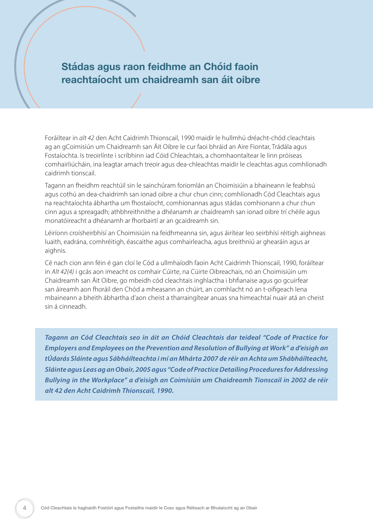## **Stádas agus raon feidhme an Chóid faoin reachtaíocht um chaidreamh san áit oibre**

Foráiltear in *alt 42* den Acht Caidrimh Thionscail, 1990 maidir le hullmhú dréacht-chód cleachtais ag an gCoimisiún um Chaidreamh san Áit Oibre le cur faoi bhráid an Aire Fiontar, Trádála agus Fostaíochta. Is treoirlínte i scríbhinn iad Cóid Chleachtais, a chomhaontaítear le linn próiseas comhairliúcháin, ina leagtar amach treoir agus dea-chleachtas maidir le cleachtas agus comhlíonadh caidrimh tionscail.

Tagann an fheidhm reachtúil sin le sainchúram foriomlán an Choimisiúin a bhaineann le feabhsú agus cothú an dea-chaidrimh san ionad oibre a chur chun cinn; comhlíonadh Cód Cleachtais agus na reachtaíochta ábhartha um fhostaíocht, comhionannas agus stádas comhionann a chur chun cinn agus a spreagadh; athbhreithnithe a dhéanamh ar chaidreamh san ionad oibre trí chéile agus monatóireacht a dhéanamh ar fhorbairtí ar an gcaidreamh sin.

Léiríonn croísheirbhísí an Choimisiúin na feidhmeanna sin, agus áirítear leo seirbhísí réitigh aighneas luaith, eadrána, comhréitigh, éascaithe agus comhairleacha, agus breithniú ar ghearáin agus ar aighnis.

Cé nach cion ann féin é gan cloí le Cód a ullmhaíodh faoin Acht Caidrimh Thionscail, 1990, foráiltear in *Alt 42(4)* i gcás aon imeacht os comhair Cúirte, na Cúirte Oibreachais, nó an Choimisiúin um Chaidreamh san Áit Oibre, go mbeidh cód cleachtais inghlactha i bhfianaise agus go gcuirfear san áireamh aon fhoráil den Chód a mheasann an chúirt, an comhlacht nó an t-oifigeach lena mbaineann a bheith ábhartha d'aon cheist a tharraingítear anuas sna himeachtaí nuair atá an cheist sin á cinneadh.

*Tagann an Cód Cleachtais seo in áit an Chóid Cleachtais dar teideal "Code of Practice for Employers and Employees on the Prevention and Resolution of Bullying at Work" a d'eisigh an tÚdarás Sláinte agus Sábháilteachta i mí an Mhárta 2007 de réir an Achta um Shábháilteacht, Sláinte agus Leas ag an Obair, 2005 agus "Code of Practice Detailing Procedures for Addressing Bullying in the Workplace" a d'eisigh an Coimisiún um Chaidreamh Tionscail in 2002 de réir alt 42 den Acht Caidrimh Thionscail, 1990.*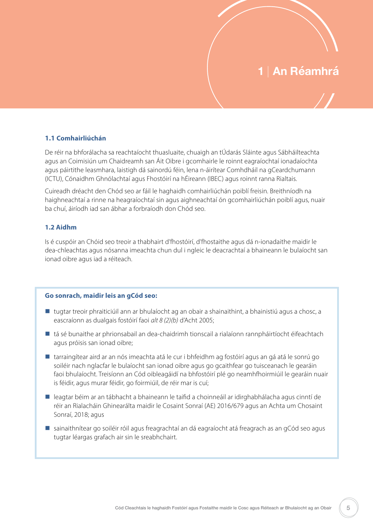# **1 | An Réamhrá**

#### **1.1 Comhairliúchán**

De réir na bhforálacha sa reachtaíocht thuasluaite, chuaigh an tÚdarás Sláinte agus Sábháilteachta agus an Coimisiún um Chaidreamh san Áit Oibre i gcomhairle le roinnt eagraíochtaí ionadaíochta agus páirtithe leasmhara, laistigh dá sainordú féin, lena n-áirítear Comhdháil na gCeardchumann (ICTU), Cónaidhm Ghnólachtaí agus Fhostóirí na hÉireann (IBEC) agus roinnt ranna Rialtais.

Cuireadh dréacht den Chód seo ar fáil le haghaidh comhairliúchán poiblí freisin. Breithníodh na haighneachtaí a rinne na heagraíochtaí sin agus aighneachtaí ón gcomhairliúchán poiblí agus, nuair ba chuí, áiríodh iad san ábhar a forbraíodh don Chód seo.

#### **1.2 Aidhm**

Is é cuspóir an Chóid seo treoir a thabhairt d'fhostóirí, d'fhostaithe agus dá n-ionadaithe maidir le dea-chleachtas agus nósanna imeachta chun dul i ngleic le deacrachtaí a bhaineann le bulaíocht san ionad oibre agus iad a réiteach.

#### **Go sonrach, maidir leis an gCód seo:**

- tugtar treoir phraiticiúil ann ar bhulaíocht ag an obair a shainaithint, a bhainistiú agus a chosc, a eascraíonn as dualgais fostóirí faoi *alt 8 (2)(b)* d'Acht 2005;
- tá sé bunaithe ar phrionsabail an dea-chaidrimh tionscail a rialaíonn rannpháirtíocht éifeachtach agus próisis san ionad oibre;
- tarraingítear aird ar an nós imeachta atá le cur i bhfeidhm ag fostóirí agus an gá atá le sonrú go soiléir nach nglacfar le bulaíocht san ionad oibre agus go gcaithfear go tuisceanach le gearáin faoi bhulaíocht. Treisíonn an Cód oibleagáidí na bhfostóirí plé go neamhfhoirmiúil le gearáin nuair is féidir, agus murar féidir, go foirmiúil, de réir mar is cuí;
- leagtar béim ar an tábhacht a bhaineann le taifid a choinneáil ar idirghabhálacha agus cinntí de réir an Rialacháin Ghinearálta maidir le Cosaint Sonraí (AE) 2016/679 agus an Achta um Chosaint Sonraí, 2018; agus
- sainaithnítear go soiléir róil agus freagrachtaí an dá eagraíocht atá freagrach as an gCód seo agus tugtar léargas grafach air sin le sreabhchairt.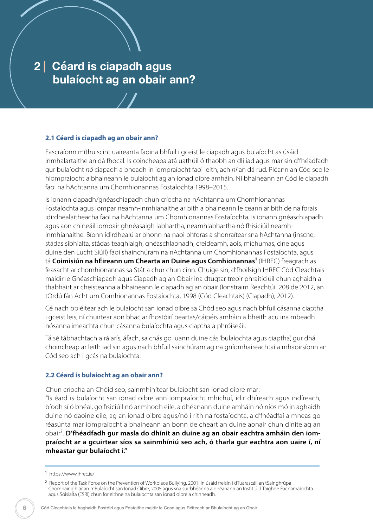# **2 | Céard is ciapadh agus bulaíocht ag an obair ann?**

#### **2.1 Céard is ciapadh ag an obair ann?**

Eascraíonn míthuiscint uaireanta faoina bhfuil i gceist le ciapadh agus bulaíocht as úsáid inmhalartaithe an dá fhocal. Is coincheapa atá uathúil ó thaobh an dlí iad agus mar sin d'fhéadfadh gur bulaíocht *nó* ciapadh a bheadh in iompraíocht faoi leith, ach *ní* an dá rud. Pléann an Cód seo le hiompraíocht a bhaineann le bulaíocht ag an ionad oibre amháin. Ní bhaineann an Cód le ciapadh faoi na hAchtanna um Chomhionannas Fostaíochta 1998–2015.

Is ionann ciapadh/gnéaschiapadh chun críocha na nAchtanna um Chomhionannas Fostaíochta agus iompar neamh-inmhianaithe ar bith a bhaineann le ceann ar bith de na forais idirdhealaitheacha faoi na hAchtanna um Chomhionannas Fostaíochta. Is ionann gnéaschiapadh agus aon chineáil iompair ghnéasaigh labhartha, neamhlabhartha nó fhisiciúil neamhinmhianaithe. Bíonn idirdhealú ar bhonn na naoi bhforas a shonraítear sna hAchtanna (inscne, stádas sibhialta, stádas teaghlaigh, gnéaschlaonadh, creideamh, aois, míchumas, cine agus duine den Lucht Siúil) faoi shainchúram na nAchtanna um Chomhionannas Fostaíochta, agus tá **Coimisiún na hÉireann um Chearta an Duine agus Comhionannas<sup>1</sup> (IHREC) freagrach as** feasacht ar chomhionannas sa Stát a chur chun cinn. Chuige sin, d'fhoilsigh IHREC Cód Cleachtais maidir le Gnéaschiapadh agus Ciapadh ag an Obair ina dtugtar treoir phraiticiúil chun aghaidh a thabhairt ar cheisteanna a bhaineann le ciapadh ag an obair (Ionstraim Reachtúil 208 de 2012, an tOrdú fán Acht um Comhionannas Fostaíochta, 1998 (Cód Cleachtais) (Ciapadh), 2012).

Cé nach bpléitear ach le bulaíocht san ionad oibre sa Chód seo agus nach bhfuil cásanna ciaptha i gceist leis, ní chuirtear aon bhac ar fhostóirí beartas/cáipéis amháin a bheith acu ina mbeadh nósanna imeachta chun cásanna bulaíochta agus ciaptha a phróiseáil.

Tá sé tábhachtach a rá arís, áfach, sa chás go luann duine cás 'bulaíochta agus ciaptha', gur dhá choincheap ar leith iad sin agus nach bhfuil sainchúram ag na gníomhaireachtaí a mhaoirsíonn an Cód seo ach i gcás na bulaíochta.

#### **2.2 Céard is bulaíocht ag an obair ann?**

Chun críocha an Chóid seo, sainmhínítear bulaíocht san ionad oibre mar:

"Is éard is bulaíocht san ionad oibre ann iompraíocht mhíchuí, idir dhíreach agus indíreach, bíodh sí ó bhéal, go fisiciúil nó ar mhodh eile, a dhéanann duine amháin nó níos mó in aghaidh duine nó daoine eile, ag an ionad oibre agus/nó i rith na fostaíochta, a d'fhéadfaí a mheas go réasúnta mar iompraíocht a bhaineann an bonn de cheart an duine aonair chun dínite ag an obair2. **D'fhéadfadh gur masla do dhínit an duine ag an obair eachtra amháin den iompraíocht ar a gcuirtear síos sa sainmhíniú seo ach, ó tharla gur eachtra aon uaire í, ní mheastar gur bulaíocht í."**

<sup>1</sup> https://www.ihrec.ie/

<sup>&</sup>lt;sup>2</sup> Report of the Task Force on the Prevention of Workplace Bullying, 2001. In úsáid freisin i dTuarascáil an tSainghrúpa Chomhairligh ar an mBulaíocht san Ionad Oibre, 2005 agus sna suirbhéanna a dhéanann an Institiúid Taighde Eacnamaíochta agus Sóisialta (ESRI) chun forleithne na bulaíochta san ionad oibre a chinneadh.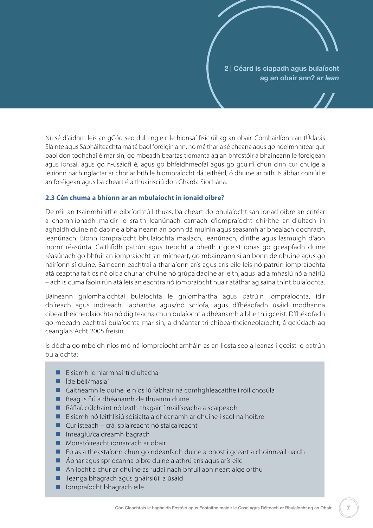**2 | Céard is ciapadh agus bulaíocht ag an obair ann?** *ar lean*

Níl sé d'aidhm leis an gCód seo dul i ngleic le hionsaí fisiciúil ag an obair. Comhairlíonn an tÚdarás Sláinte agus Sábháilteachta má tá baol foréigin ann, nó má tharla sé cheana agus go ndeimhnítear gur baol don todhchaí é mar sin, go mbeadh beartas tiomanta ag an bhfostóir a bhaineann le foréigean agus ionsaí, agus go n-úsáidfí é, agus go bhfeidhmeofaí agus go gcuirfí chun cinn cur chuige a léiríonn nach nglactar ar chor ar bith le hiompraíocht dá leithéid, ó dhuine ar bith. Is ábhar coiriúil é an foréigean agus ba cheart é a thuairisciú don Gharda Síochána.

#### **2.3 Cén chuma a bhíonn ar an mbulaíocht in ionaid oibre?**

De réir an tsainmhínithe oibríochtúil thuas, ba cheart do bhulaíocht san ionad oibre an critéar a chomhlíonadh maidir le sraith leanúnach carnach d'iompraíocht dhírithe an-diúltach in aghaidh duine nó daoine a bhaineann an bonn dá muinín agus seasamh ar bhealach dochrach, leanúnach. Bíonn iompraíocht bhulaíochta maslach, leanúnach, dírithe agus lasmuigh d'aon 'norm' réasúnta. Caithfidh patrún agus treocht a bheith i gceist ionas go gceapfadh duine réasúnach go bhfuil an iompraíocht sin mícheart, go mbaineann sí an bonn de dhuine agus go náiríonn sí duine. Baineann eachtraí a tharlaíonn arís agus arís eile leis nó patrún iompraíochta atá ceaptha faitíos nó olc a chur ar dhuine nó grúpa daoine ar leith, agus iad a mhaslú nó a náiriú – ach is cuma faoin rún atá leis an eachtra nó iompraíocht nuair atáthar ag sainaithint bulaíochta.

Baineann gníomhaíochtaí bulaíochta le gníomhartha agus patrúin iompraíochta, idir dhíreach agus indíreach, labhartha agus/nó scríofa, agus d'fhéadfadh úsáid modhanna cibeartheicneolaíochta nó digiteacha chun bulaíocht a dhéanamh a bheith i gceist. D'fhéadfadh go mbeadh eachtraí bulaíochta mar sin, a dhéantar trí chibeartheicneolaíocht, á gclúdach ag ceanglais Acht 2005 freisin.

Is dócha go mbeidh níos mó ná iompraíocht amháin as an liosta seo a leanas i gceist le patrún bulaíochta:

- $\blacksquare$  Eisiamh le hiarmhairtí diúltacha
- $\blacksquare$  Íde béil/maslaí
- Caitheamh le duine le níos lú fabhair ná comhghleacaithe i róil chosúla
- $\blacksquare$  Beag is fiú a dhéanamh de thuairim duine
- n Ráflaí, cúlchaint nó leath-thagairtí mailíseacha a scaipeadh
- $\blacksquare$  Eisiamh nó leithlisiú sóisialta a dhéanamh ar dhuine i saol na hoibre
- $\blacksquare$  Cur isteach crá, spiaireacht nó stalcaireacht
- n Imeaglú/caidreamh bagrach
- Monatóireacht iomarcach ar obair
- Eolas a theastaíonn chun go ndéanfadh duine a phost i gceart a choinneáil uaidh
- $\blacksquare$  Ábhar agus spriocanna oibre duine a athrú arís agus arís eile
- An locht a chur ar dhuine as rudaí nach bhfuil aon neart aige orthu
- Teanga bhagrach agus gháirsiúil a úsáid
- **n** Iompraíocht bhagrach eile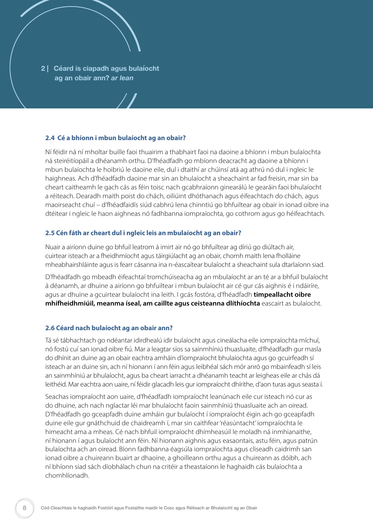**2 | Céard is ciapadh agus bulaíocht ag an obair ann?** *ar lean*

#### **2.4 Cé a bhíonn i mbun bulaíocht ag an obair?**

Ní féidir ná ní mholtar buille faoi thuairim a thabhairt faoi na daoine a bhíonn i mbun bulaíochta ná steiréitíopáil a dhéanamh orthu. D'fhéadfadh go mbíonn deacracht ag daoine a bhíonn i mbun bulaíochta le hoibriú le daoine eile, dul i dtaithí ar chúinsí atá ag athrú nó dul i ngleic le haighneas. Ach d'fhéadfadh daoine mar sin an bhulaíocht a sheachaint ar fad freisin, mar sin ba cheart caitheamh le gach cás as féin toisc nach gcabhraíonn ginearálú le gearáin faoi bhulaíocht a réiteach. Dearadh maith poist do chách, oiliúint dhóthanach agus éifeachtach do chách, agus maoirseacht chuí – d'fhéadfaidís siúd cabhrú lena chinntiú go bhfuiltear ag obair in ionad oibre ina dtéitear i ngleic le haon aighneas nó fadhbanna iompraíochta, go cothrom agus go héifeachtach.

#### **2.5 Cén fáth ar cheart dul i ngleic leis an mbulaíocht ag an obair?**

Nuair a airíonn duine go bhfuil leatrom á imirt air nó go bhfuiltear ag díriú go diúltach air, cuirtear isteach ar a fheidhmíocht agus táirgiúlacht ag an obair, chomh maith lena fholláine mheabhairshláinte agus is fearr cásanna ina n-éascaítear bulaíocht a sheachaint sula dtarlaíonn siad.

D'fhéadfadh go mbeadh éifeachtaí tromchúiseacha ag an mbulaíocht ar an té ar a bhfuil bulaíocht á déanamh, ar dhuine a airíonn go bhfuiltear i mbun bulaíocht air cé gur cás aighnis é i ndáiríre, agus ar dhuine a gcuirtear bulaíocht ina leith. I gcás fostóra, d'fhéadfadh **timpeallacht oibre mhífheidhmiúil, meanma íseal, am caillte agus ceisteanna dlíthíochta** eascairt as bulaíocht.

#### **2.6 Céard nach bulaíocht ag an obair ann?**

Tá sé tábhachtach go ndéantar idirdhealú idir bulaíocht agus cineálacha eile iompraíochta míchuí, nó fostú cuí san ionad oibre fiú. Mar a leagtar síos sa sainmhíniú thuasluaite, d'fhéadfadh gur masla do dhínit an duine ag an obair eachtra amháin d'iompraíocht bhulaíochta agus go gcuirfeadh sí isteach ar an duine sin, ach ní hionann í ann féin agus leibhéal sách mór anró go mbainfeadh sí leis an sainmhíniú ar bhulaíocht, agus ba cheart iarracht a dhéanamh teacht ar leigheas eile ar chás dá leithéid. Mar eachtra aon uaire, ní féidir glacadh leis gur iompraíocht dhírithe, d'aon turas agus seasta í.

Seachas iompraíocht aon uaire, d'fhéadfadh iompraíocht leanúnach eile cur isteach nó cur as do dhuine, ach nach nglactar léi mar bhulaíocht faoin sainmhíniú thuasluaite ach an oiread. D'fhéadfadh go gceapfadh duine amháin gur bulaíocht í iompraíocht éigin ach go gceapfadh duine eile gur gnáthchuid de chaidreamh í, mar sin caithfear 'réasúntacht' iompraíochta le himeacht ama a mheas. Cé nach bhfuil iompraíocht dhímheasúil le moladh ná inmhianaithe, ní hionann í agus bulaíocht ann féin. Ní hionann aighnis agus easaontais, astu féin, agus patrún bulaíochta ach an oiread. Bíonn fadhbanna éagsúla iompraíochta agus cliseadh caidrimh san ionad oibre a chuireann buairt ar dhaoine, a ghoilleann orthu agus a chuireann as dóibh, ach ní bhíonn siad sách díobhálach chun na critéir a theastaíonn le haghaidh cás bulaíochta a chomhlíonadh.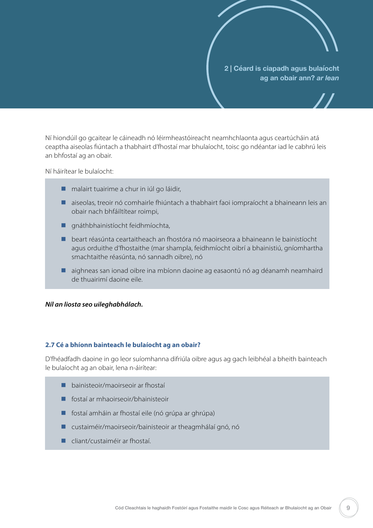**2 | Céard is ciapadh agus bulaíocht ag an obair ann?** *ar lean*

Ní hiondúil go gcaitear le cáineadh nó léirmheastóireacht neamhchlaonta agus ceartúcháin atá ceaptha aiseolas fiúntach a thabhairt d'fhostaí mar bhulaíocht, toisc go ndéantar iad le cabhrú leis an bhfostaí ag an obair.

Ní háirítear le bulaíocht:

- malairt tuairime a chur in iúl go láidir,
- n aiseolas, treoir nó comhairle fhiúntach a thabhairt faoi iompraíocht a bhaineann leis an obair nach bhfáiltítear roimpi,
- $\Box$  gnáthbhainistíocht feidhmíochta,
- n beart réasúnta ceartaitheach an fhostóra nó maoirseora a bhaineann le bainistíocht agus orduithe d'fhostaithe (mar shampla, feidhmíocht oibrí a bhainistiú, gníomhartha smachtaithe réasúnta, nó sannadh oibre), nó
- n aighneas san ionad oibre ina mbíonn daoine ag easaontú nó ag déanamh neamhaird de thuairimí daoine eile.

#### *Níl an liosta seo uileghabhálach.*

#### **2.7 Cé a bhíonn bainteach le bulaíocht ag an obair?**

D'fhéadfadh daoine in go leor suíomhanna difriúla oibre agus ag gach leibhéal a bheith bainteach le bulaíocht ag an obair, lena n-áirítear:

- $\blacksquare$  bainisteoir/maoirseoir ar fhostaí
- $\blacksquare$  fostaí ar mhaoirseoir/bhainisteoir
- $\blacksquare$  fostaí amháin ar fhostaí eile (nó grúpa ar ghrúpa)
- $\blacksquare$  custaiméir/maoirseoir/bainisteoir ar theagmhálaí gnó, nó
- cliant/custaiméir ar fhostaí.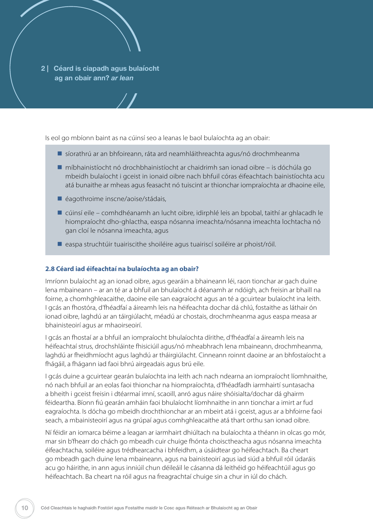**2 | Céard is ciapadh agus bulaíocht ag an obair ann?** *ar lean*

Is eol go mbíonn baint as na cúinsí seo a leanas le baol bulaíochta ag an obair:

- n síorathrú ar an bhfoireann, ráta ard neamhláithreachta agus/nó drochmheanma
- míbhainistíocht nó drochbhainistíocht ar chaidrimh san ionad oibre is dóchúla go mbeidh bulaíocht i gceist in ionaid oibre nach bhfuil córas éifeachtach bainistíochta acu atá bunaithe ar mheas agus feasacht nó tuiscint ar thionchar iompraíochta ar dhaoine eile,
- éagothroime inscne/aoise/stádais,
- cúinsí eile comhdhéanamh an lucht oibre, idirphlé leis an bpobal, taithí ar ghlacadh le hiompraíocht dho-ghlactha, easpa nósanna imeachta/nósanna imeachta lochtacha nó gan cloí le nósanna imeachta, agus
- easpa struchtúir tuairiscithe shoiléire agus tuairiscí soiléire ar phoist/róil.

#### **2.8 Céard iad éifeachtaí na bulaíochta ag an obair?**

Imríonn bulaíocht ag an ionad oibre, agus gearáin a bhaineann léi, raon tionchar ar gach duine lena mbaineann – ar an té ar a bhfuil an bhulaíocht á déanamh ar ndóigh, ach freisin ar bhaill na foirne, a chomhghleacaithe, daoine eile san eagraíocht agus an té a gcuirtear bulaíocht ina leith. I gcás an fhostóra, d'fhéadfaí a áireamh leis na héifeachta dochar dá chlú, fostaithe as láthair ón ionad oibre, laghdú ar an táirgiúlacht, méadú ar chostais, drochmheanma agus easpa measa ar bhainisteoirí agus ar mhaoirseoirí.

I gcás an fhostaí ar a bhfuil an iompraíocht bhulaíochta dírithe, d'fhéadfaí a áireamh leis na héifeachtaí strus, drochshláinte fhisiciúil agus/nó mheabhrach lena mbaineann, drochmheanma, laghdú ar fheidhmíocht agus laghdú ar tháirgiúlacht. Cinneann roinnt daoine ar an bhfostaíocht a fhágáil, a fhágann iad faoi bhrú airgeadais agus brú eile.

I gcás duine a gcuirtear gearán bulaíochta ina leith ach nach ndearna an iompraíocht líomhnaithe, nó nach bhfuil ar an eolas faoi thionchar na hiompraíochta, d'fhéadfadh iarmhairtí suntasacha a bheith i gceist freisin i dtéarmaí imní, scaoill, anró agus náire shóisialta/dochar dá ghairm féideartha. Bíonn fiú gearán amháin faoi bhulaíocht líomhnaithe in ann tionchar a imirt ar fud eagraíochta. Is dócha go mbeidh drochthionchar ar an mbeirt atá i gceist, agus ar a bhfoirne faoi seach, a mbainisteoirí agus na grúpaí agus comhghleacaithe atá thart orthu san ionad oibre.

Ní féidir an iomarca béime a leagan ar iarmhairt dhiúltach na bulaíochta a théann in olcas go mór, mar sin b'fhearr do chách go mbeadh cuir chuige fhónta choisctheacha agus nósanna imeachta éifeachtacha, soiléire agus trédhearcacha i bhfeidhm, a úsáidtear go héifeachtach. Ba cheart go mbeadh gach duine lena mbaineann, agus na bainisteoirí agus iad siúd a bhfuil róil údaráis acu go háirithe, in ann agus inniúil chun déileáil le cásanna dá leithéid go héifeachtúil agus go héifeachtach. Ba cheart na róil agus na freagrachtaí chuige sin a chur in iúl do chách.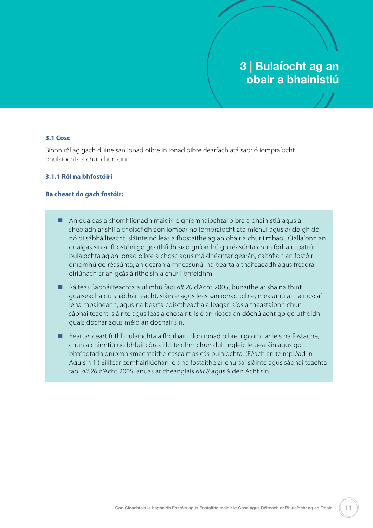# **3 | Bulaíocht ag an obair a bhainistiú**

#### **3.1 Cosc**

Bíonn ról ag gach duine san ionad oibre in ionad oibre dearfach atá saor ó iompraíocht bhulaíochta a chur chun cinn.

#### **3.1.1 Ról na bhfostóirí**

#### **Ba cheart do gach fostóir:**

- n An dualgas a chomhlíonadh maidir le gníomhaíochtaí oibre a bhainistiú agus a sheoladh ar shlí a choiscfidh aon iompar nó iompraíocht atá míchuí agus ar dóigh dó nó di sábháilteacht, sláinte nó leas a fhostaithe ag an obair a chur i mbaol. Ciallaíonn an dualgas sin ar fhostóirí go gcaithfidh siad gníomhú go réasúnta chun forbairt patrún bulaíochta ag an ionad oibre a chosc agus má dhéantar gearán, caithfidh an fostóir gníomhú go réasúnta, an gearán a mheasúnú, na bearta a thaifeadadh agus freagra oiriúnach ar an gcás áirithe sin a chur i bhfeidhm.
- Ráiteas Sábháilteachta a ullmhú faoi *alt 20* d'Acht 2005, bunaithe ar shainaithint guaiseacha do shábháilteacht, sláinte agus leas san ionad oibre, measúnú ar na rioscaí lena mbaineann, agus na bearta coisctheacha a leagan síos a theastaíonn chun sábháilteacht, sláinte agus leas a chosaint. Is é an riosca an dóchúlacht go gcruthóidh guais dochar agus méid an dochair sin.
- Beartas ceart frithbhulaíochta a fhorbairt don ionad oibre, i gcomhar leis na fostaithe, chun a chinntiú go bhfuil córas i bhfeidhm chun dul i ngleic le gearáin agus go bhféadfadh gníomh smachtaithe eascairt as cás bulaíochta. (Féach an teimpléad in Aguisín 1.) Éilítear comhairliúchán leis na fostaithe ar chúrsaí sláinte agus sábháilteachta faoi *alt 26* d'Acht 2005, anuas ar cheanglais *ailt 8* agus *9* den Acht sin.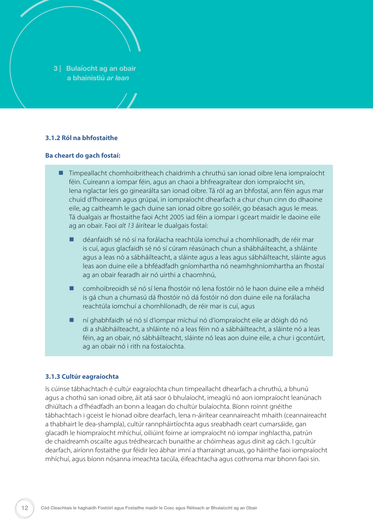**3 | Bulaíocht ag an obair a bhainistiú** *ar lean*

#### **3.1.2 Ról na bhfostaithe**

#### **Ba cheart do gach fostaí:**

- Timpeallacht chomhoibritheach chaidrimh a chruthú san ionad oibre lena iompraíocht féin. Cuireann a iompar féin, agus an chaoi a bhfreagraítear don iompraíocht sin, lena nglactar leis go ginearálta san ionad oibre. Tá ról ag an bhfostaí, ann féin agus mar chuid d'fhoireann agus grúpaí, in iompraíocht dhearfach a chur chun cinn do dhaoine eile, ag caitheamh le gach duine san ionad oibre go soiléir, go béasach agus le meas. Tá dualgais ar fhostaithe faoi Acht 2005 iad féin a iompar i gceart maidir le daoine eile ag an obair. Faoi *alt 13* áirítear le dualgais fostaí:
	- n déanfaidh sé nó sí na forálacha reachtúla iomchuí a chomhlíonadh, de réir mar is cuí, agus glacfaidh sé nó sí cúram réasúnach chun a shábháilteacht, a shláinte agus a leas nó a sábháilteacht, a sláinte agus a leas agus sábháilteacht, sláinte agus leas aon duine eile a bhféadfadh gníomhartha nó neamhghníomhartha an fhostaí ag an obair fearadh air nó uirthi a chaomhnú,
	- n comhoibreoidh sé nó sí lena fhostóir nó lena fostóir nó le haon duine eile a mhéid is gá chun a chumasú dá fhostóir nó dá fostóir nó don duine eile na forálacha reachtúla iomchuí a chomhlíonadh, de réir mar is cuí, agus
	- n ní ghabhfaidh sé nó sí d'iompar míchuí nó d'iompraíocht eile ar dóigh dó nó di a shábháilteacht, a shláinte nó a leas féin nó a sábháilteacht, a sláinte nó a leas féin, ag an obair, nó sábháilteacht, sláinte nó leas aon duine eile, a chur i gcontúirt, ag an obair nó i rith na fostaíochta.

#### **3.1.3 Cultúr eagraíochta**

Is cúinse tábhachtach é cultúr eagraíochta chun timpeallacht dhearfach a chruthú, a bhunú agus a chothú san ionad oibre, áit atá saor ó bhulaíocht, imeaglú nó aon iompraíocht leanúnach dhiúltach a d'fhéadfadh an bonn a leagan do chultúr bulaíochta. Bíonn roinnt gnéithe tábhachtach i gceist le hionad oibre dearfach, lena n-áirítear ceannaireacht mhaith (ceannaireacht a thabhairt le dea-shampla), cultúr rannpháirtíochta agus sreabhadh ceart cumarsáide, gan glacadh le hiompraíocht mhíchuí, oiliúint foirne ar iompraíocht nó iompar inghlactha, patrún de chaidreamh oscailte agus trédhearcach bunaithe ar chóimheas agus dínit ag cách. I gcultúr dearfach, airíonn fostaithe gur féidir leo ábhar imní a tharraingt anuas, go háirithe faoi iompraíocht mhíchuí, agus bíonn nósanna imeachta tacúla, éifeachtacha agus cothroma mar bhonn faoi sin.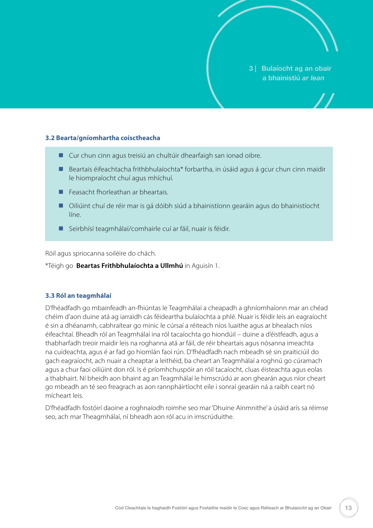**3 | Bulaíocht ag an obair a bhainistiú** *ar lean*

#### **3.2 Bearta/gníomhartha coisctheacha**

- Cur chun cinn agus treisiú an chultúir dhearfaigh san ionad oibre.
- Beartais éifeachtacha frithbhulaíochta\* forbartha, in úsáid agus á gcur chun cinn maidir le hiompraíocht chuí agus mhíchuí.
- $\blacksquare$  Feasacht fhorleathan ar bheartais.
- Oiliúint chuí de réir mar is gá dóibh siúd a bhainistíonn gearáin agus do bhainistíocht líne.
- Seirbhísí teagmhálaí/comhairle cuí ar fáil, nuair is féidir.

Róil agus spriocanna soiléire do chách.

\*Téigh go **Beartas Frithbhulaíochta a Ullmhú** in Aguisín 1.

#### **3.3 Ról an teagmhálaí**

D'fhéadfadh go mbainfeadh an-fhiúntas le Teagmhálaí a cheapadh a ghníomhaíonn mar an chéad chéim d'aon duine atá ag iarraidh cás féideartha bulaíochta a phlé. Nuair is féidir leis an eagraíocht é sin a dhéanamh, cabhraítear go minic le cúrsaí a réiteach níos luaithe agus ar bhealach níos éifeachtaí. Bheadh ról an Teagmhálaí ina ról tacaíochta go hiondúil – duine a d'éistfeadh, agus a thabharfadh treoir maidir leis na roghanna atá ar fáil, de réir bheartais agus nósanna imeachta na cuideachta, agus é ar fad go hiomlán faoi rún. D'fhéadfadh nach mbeadh sé sin praiticiúil do gach eagraíocht, ach nuair a cheaptar a leithéid, ba cheart an Teagmhálaí a roghnú go cúramach agus a chur faoi oiliúint don ról. Is é príomhchuspóir an róil tacaíocht, cluas éisteachta agus eolas a thabhairt. Ní bheidh aon bhaint ag an Teagmhálaí le himscrúdú ar aon ghearán agus níor cheart go mbeadh an té seo freagrach as aon rannpháirtíocht eile i sonraí gearáin ná a raibh ceart nó mícheart leis.

D'fhéadfadh fostóirí daoine a roghnaíodh roimhe seo mar 'Dhuine Ainmnithe' a úsáid arís sa réimse seo, ach mar Theagmhálaí, ní bheadh aon ról acu in imscrúduithe.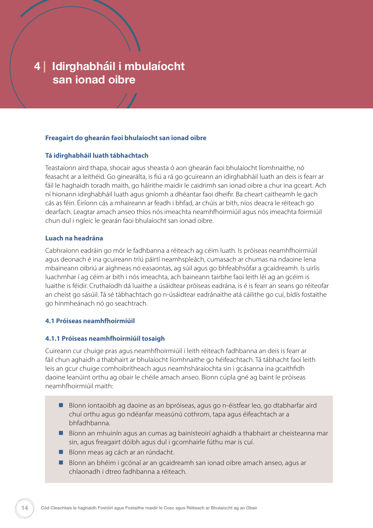#### **Freagairt do ghearán faoi bhulaíocht san ionad oibre**

#### **Tá idirghabháil luath tábhachtach**

Teastaíonn aird thapa, shocair agus sheasta ó aon ghearán faoi bhulaíocht líomhnaithe, nó feasacht ar a leithéid. Go ginearálta, is fiú a rá go gcuireann an idirghabháil luath an deis is fearr ar fáil le haghaidh toradh maith, go háirithe maidir le caidrimh san ionad oibre a chur ina gceart. Ach ní hionann idirghabháil luath agus gníomh a dhéantar faoi dheifir. Ba cheart caitheamh le gach cás as féin. Éiríonn cás a mhaireann ar feadh i bhfad, ar chúis ar bith, níos deacra le réiteach go dearfach. Leagtar amach anseo thíos nós imeachta neamhfhoirmiúil agus nós imeachta foirmiúil chun dul i ngleic le gearán faoi bhulaíocht san ionad oibre.

#### **Luach na headrána**

Cabhraíonn eadráin go mór le fadhbanna a réiteach ag céim luath. Is próiseas neamhfhoirmiúil agus deonach é ina gcuireann tríú páirtí neamhspleách, cumasach ar chumas na ndaoine lena mbaineann oibriú ar aighneas nó easaontas, ag súil agus go bhfeabhsófar a gcaidreamh. Is uirlis luachmhar í ag céim ar bith i nós imeachta, ach baineann tairbhe faoi leith léi ag an gcéim is luaithe is féidir. Cruthaíodh dá luaithe a úsáidtear próiseas eadrána, is é is fearr an seans go réiteofar an cheist go sásúil. Tá sé tábhachtach go n-úsáidtear eadránaithe atá cáilithe go cuí, bídís fostaithe go hinmheánach nó go seachtrach.

#### **4.1 Próiseas neamhfhoirmiúil**

#### **4.1.1 Próiseas neamhfhoirmiúil tosaigh**

Cuireann cur chuige pras agus neamhfhoirmiúil i leith réiteach fadhbanna an deis is fearr ar fáil chun aghaidh a thabhairt ar bhulaíocht líomhnaithe go héifeachtach. Tá tábhacht faoi leith leis an gcur chuige comhoibritheach agus neamhsháraíochta sin i gcásanna ina gcaithfidh daoine leanúint orthu ag obair le chéile amach anseo. Bíonn cúpla gné ag baint le próiseas neamhfhoirmiúil maith:

- n Bíonn iontaoibh ag daoine as an bpróiseas, agus go n-éistfear leo, go dtabharfar aird chuí orthu agus go ndéanfar measúnú cothrom, tapa agus éifeachtach ar a bhfadhbanna.
- n Bíonn an mhuinín agus an cumas ag bainisteoirí aghaidh a thabhairt ar cheisteanna mar sin, agus freagairt dóibh agus dul i gcomhairle fúthu mar is cuí.
- Bíonn meas ag cách ar an rúndacht.
- n Bíonn an bhéim i gcónaí ar an gcaidreamh san ionad oibre amach anseo, agus ar chlaonadh i dtreo fadhbanna a réiteach.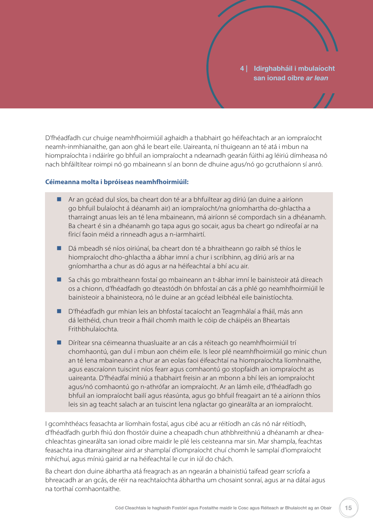D'fhéadfadh cur chuige neamhfhoirmiúil aghaidh a thabhairt go héifeachtach ar an iompraíocht neamh-inmhianaithe, gan aon ghá le beart eile. Uaireanta, ní thuigeann an té atá i mbun na hiompraíochta i ndáiríre go bhfuil an iompraíocht a ndearnadh gearán fúithi ag léiriú dímheasa nó nach bhfáiltítear roimpi nó go mbaineann sí an bonn de dhuine agus/nó go gcruthaíonn sí anró.

#### **Céimeanna molta i bpróiseas neamhfhoirmiúil:**

- Ar an gcéad dul síos, ba cheart don té ar a bhfuiltear ag díriú (an duine a airíonn go bhfuil bulaíocht á déanamh air) an iompraíocht/na gníomhartha do-ghlactha a tharraingt anuas leis an té lena mbaineann, má airíonn sé compordach sin a dhéanamh. Ba cheart é sin a dhéanamh go tapa agus go socair, agus ba cheart go ndíreofaí ar na fíricí faoin méid a rinneadh agus a n-iarmhairtí.
- n Dá mbeadh sé níos oiriúnaí, ba cheart don té a bhraitheann go raibh sé thíos le hiompraíocht dho-ghlactha a ábhar imní a chur i scríbhinn, ag díriú arís ar na gníomhartha a chur as dó agus ar na héifeachtaí a bhí acu air.
- Sa chás go mbraitheann fostaí go mbaineann an t-ábhar imní le bainisteoir atá díreach os a chionn, d'fhéadfadh go dteastódh ón bhfostaí an cás a phlé go neamhfhoirmiúil le bainisteoir a bhainisteora, nó le duine ar an gcéad leibhéal eile bainistíochta.
- n D'fhéadfadh gur mhian leis an bhfostaí tacaíocht an Teagmhálaí a fháil, más ann dá leithéid, chun treoir a fháil chomh maith le cóip de cháipéis an Bheartais Frithbhulaíochta.
- n Dírítear sna céimeanna thuasluaite ar an cás a réiteach go neamhfhoirmiúil trí chomhaontú, gan dul i mbun aon chéim eile. Is leor plé neamhfhoirmiúil go minic chun an té lena mbaineann a chur ar an eolas faoi éifeachtaí na hiompraíochta líomhnaithe, agus eascraíonn tuiscint níos fearr agus comhaontú go stopfaidh an iompraíocht as uaireanta. D'fhéadfaí míniú a thabhairt freisin ar an mbonn a bhí leis an iompraíocht agus/nó comhaontú go n-athrófar an iompraíocht. Ar an lámh eile, d'fhéadfadh go bhfuil an iompraíocht bailí agus réasúnta, agus go bhfuil freagairt an té a airíonn thíos leis sin ag teacht salach ar an tuiscint lena nglactar go ginearálta ar an iompraíocht.

I gcomhthéacs feasachta ar líomhain fostaí, agus cibé acu ar réitíodh an cás nó nár réitíodh, d'fhéadfadh gurbh fhiú don fhostóir duine a cheapadh chun athbhreithniú a dhéanamh ar dheachleachtas ginearálta san ionad oibre maidir le plé leis ceisteanna mar sin. Mar shampla, feachtas feasachta ina dtarraingítear aird ar shamplaí d'iompraíocht chuí chomh le samplaí d'iompraíocht mhíchuí, agus míniú gairid ar na héifeachtaí le cur in iúl do chách.

Ba cheart don duine ábhartha atá freagrach as an ngearán a bhainistiú taifead gearr scríofa a bhreacadh ar an gcás, de réir na reachtaíochta ábhartha um chosaint sonraí, agus ar na dátaí agus na torthaí comhaontaithe.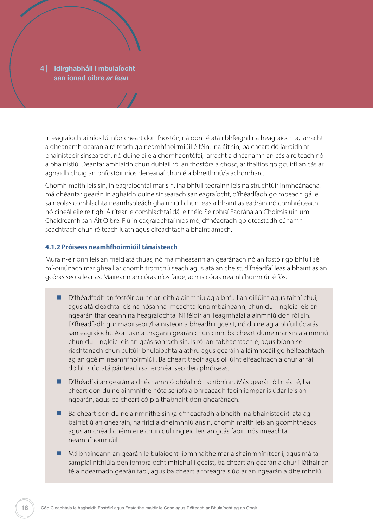In eagraíochtaí níos lú, níor cheart don fhostóir, ná don té atá i bhfeighil na heagraíochta, iarracht a dhéanamh gearán a réiteach go neamhfhoirmiúil é féin. Ina áit sin, ba cheart dó iarraidh ar bhainisteoir sinsearach, nó duine eile a chomhaontófaí, iarracht a dhéanamh an cás a réiteach nó a bhainistiú. Déantar amhlaidh chun dúbláil ról an fhostóra a chosc, ar fhaitíos go gcuirfí an cás ar aghaidh chuig an bhfostóir níos deireanaí chun é a bhreithniú/a achomharc.

Chomh maith leis sin, in eagraíochtaí mar sin, ina bhfuil teorainn leis na struchtúir inmheánacha, má dhéantar gearán in aghaidh duine sinsearach san eagraíocht, d'fhéadfadh go mbeadh gá le saineolas comhlachta neamhspleách ghairmiúil chun leas a bhaint as eadráin nó comhréiteach nó cineál eile réitigh. Áirítear le comhlachtaí dá leithéid Seirbhísí Eadrána an Choimisiúin um Chaidreamh san Áit Oibre. Fiú in eagraíochtaí níos mó, d'fhéadfadh go dteastódh cúnamh seachtrach chun réiteach luath agus éifeachtach a bhaint amach.

#### **4.1.2 Próiseas neamhfhoirmiúil tánaisteach**

Mura n-éiríonn leis an méid atá thuas, nó má mheasann an gearánach nó an fostóir go bhfuil sé mí-oiriúnach mar gheall ar chomh tromchúiseach agus atá an cheist, d'fhéadfaí leas a bhaint as an gcóras seo a leanas. Maireann an córas níos faide, ach is córas neamhfhoirmiúil é fós.

- n D'fhéadfadh an fostóir duine ar leith a ainmniú ag a bhfuil an oiliúint agus taithí chuí, agus atá cleachta leis na nósanna imeachta lena mbaineann, chun dul i ngleic leis an ngearán thar ceann na heagraíochta. Ní féidir an Teagmhálaí a ainmniú don ról sin. D'fhéadfadh gur maoirseoir/bainisteoir a bheadh i gceist, nó duine ag a bhfuil údarás san eagraíocht. Aon uair a thagann gearán chun cinn, ba cheart duine mar sin a ainmniú chun dul i ngleic leis an gcás sonrach sin. Is ról an-tábhachtach é, agus bíonn sé riachtanach chun cultúir bhulaíochta a athrú agus gearáin a láimhseáil go héifeachtach ag an gcéim neamhfhoirmiúil. Ba cheart treoir agus oiliúint éifeachtach a chur ar fáil dóibh siúd atá páirteach sa leibhéal seo den phróiseas.
- n D'fhéadfaí an gearán a dhéanamh ó bhéal nó i scríbhinn. Más gearán ó bhéal é, ba cheart don duine ainmnithe nóta scríofa a bhreacadh faoin iompar is údar leis an ngearán, agus ba cheart cóip a thabhairt don ghearánach.
- $\blacksquare$  Ba cheart don duine ainmnithe sin (a d'fhéadfadh a bheith ina bhainisteoir), atá ag bainistiú an ghearáin, na fíricí a dheimhniú ansin, chomh maith leis an gcomhthéacs agus an chéad chéim eile chun dul i ngleic leis an gcás faoin nós imeachta neamhfhoirmiúil.
- n Má bhaineann an gearán le bulaíocht líomhnaithe mar a shainmhínítear í, agus má tá samplaí nithiúla den iompraíocht mhíchuí i gceist, ba cheart an gearán a chur i láthair an té a ndearnadh gearán faoi, agus ba cheart a fhreagra siúd ar an ngearán a dheimhniú.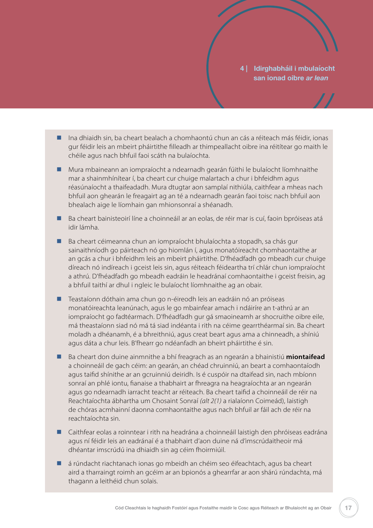- n Ina dhiaidh sin, ba cheart bealach a chomhaontú chun an cás a réiteach más féidir, ionas gur féidir leis an mbeirt pháirtithe filleadh ar thimpeallacht oibre ina réitítear go maith le chéile agus nach bhfuil faoi scáth na bulaíochta.
- Mura mbaineann an iompraíocht a ndearnadh gearán fúithi le bulaíocht líomhnaithe mar a shainmhínítear í, ba cheart cur chuige malartach a chur i bhfeidhm agus réasúnaíocht a thaifeadadh. Mura dtugtar aon samplaí nithiúla, caithfear a mheas nach bhfuil aon ghearán le freagairt ag an té a ndearnadh gearán faoi toisc nach bhfuil aon bhealach aige le líomhain gan mhionsonraí a shéanadh.
- n Ba cheart bainisteoirí líne a choinneáil ar an eolas, de réir mar is cuí, faoin bpróiseas atá idir lámha.
- Ba cheart céimeanna chun an iompraíocht bhulaíochta a stopadh, sa chás gur sainaithníodh go páirteach nó go hiomlán í, agus monatóireacht chomhaontaithe ar an gcás a chur i bhfeidhm leis an mbeirt pháirtithe. D'fhéadfadh go mbeadh cur chuige díreach nó indíreach i gceist leis sin, agus réiteach féideartha trí chlár chun iompraíocht a athrú. D'fhéadfadh go mbeadh eadráin le headránaí comhaontaithe i gceist freisin, ag a bhfuil taithí ar dhul i ngleic le bulaíocht líomhnaithe ag an obair.
- Teastaíonn dóthain ama chun go n-éireodh leis an eadráin nó an próiseas monatóireachta leanúnach, agus le go mbainfear amach i ndáiríre an t-athrú ar an iompraíocht go fadtéarmach. D'fhéadfadh gur gá smaoineamh ar shocruithe oibre eile, má theastaíonn siad nó má tá siad indéanta i rith na céime gearrthéarmaí sin. Ba cheart moladh a dhéanamh, é a bhreithniú, agus creat beart agus ama a chinneadh, a shíniú agus dáta a chur leis. B'fhearr go ndéanfadh an bheirt pháirtithe é sin.
- n Ba cheart don duine ainmnithe a bhí freagrach as an ngearán a bhainistiú **miontaifead** a choinneáil de gach céim: an gearán, an chéad chruinniú, an beart a comhaontaíodh agus taifid shínithe ar an gcruinniú deiridh. Is é cuspóir na dtaifead sin, nach mbíonn sonraí an phlé iontu, fianaise a thabhairt ar fhreagra na heagraíochta ar an ngearán agus go ndearnadh iarracht teacht ar réiteach. Ba cheart taifid a choinneáil de réir na Reachtaíochta ábhartha um Chosaint Sonraí *(alt 2(1)* a rialaíonn Coimeád), laistigh de chóras acmhainní daonna comhaontaithe agus nach bhfuil ar fáil ach de réir na reachtaíochta sin.
- Caithfear eolas a roinntear i rith na headrána a choinneáil laistigh den phróiseas eadrána agus ní féidir leis an eadránaí é a thabhairt d'aon duine ná d'imscrúdaitheoir má dhéantar imscrúdú ina dhiaidh sin ag céim fhoirmiúil.
- n á rúndacht riachtanach ionas go mbeidh an chéim seo éifeachtach, agus ba cheart aird a tharraingt roimh an gcéim ar an bpionós a ghearrfar ar aon shárú rúndachta, má thagann a leithéid chun solais.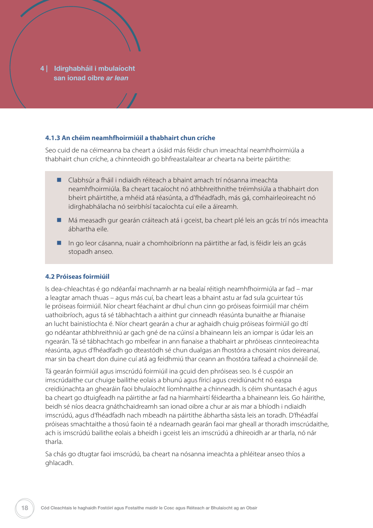#### **4.1.3 An chéim neamhfhoirmiúil a thabhairt chun críche**

Seo cuid de na céimeanna ba cheart a úsáid más féidir chun imeachtaí neamhfhoirmiúla a thabhairt chun críche, a chinnteoidh go bhfreastalaítear ar chearta na beirte páirtithe:

- n Clabhsúr a fháil i ndiaidh réiteach a bhaint amach trí nósanna imeachta neamhfhoirmiúla. Ba cheart tacaíocht nó athbhreithnithe tréimhsiúla a thabhairt don bheirt pháirtithe, a mhéid atá réasúnta, a d'fhéadfadh, más gá, comhairleoireacht nó idirghabhálacha nó seirbhísí tacaíochta cuí eile a áireamh.
- n Má measadh gur gearán cráiteach atá i gceist, ba cheart plé leis an gcás trí nós imeachta ábhartha eile.
- n In go leor cásanna, nuair a chomhoibríonn na páirtithe ar fad, is féidir leis an gcás stopadh anseo.

#### **4.2 Próiseas foirmiúil**

Is dea-chleachtas é go ndéanfaí machnamh ar na bealaí réitigh neamhfhoirmiúla ar fad – mar a leagtar amach thuas – agus más cuí, ba cheart leas a bhaint astu ar fad sula gcuirtear tús le próiseas foirmiúil. Níor cheart féachaint ar dhul chun cinn go próiseas foirmiúil mar chéim uathoibríoch, agus tá sé tábhachtach a aithint gur cinneadh réasúnta bunaithe ar fhianaise an lucht bainistíochta é. Níor cheart gearán a chur ar aghaidh chuig próiseas foirmiúil go dtí go ndéantar athbhreithniú ar gach gné de na cúinsí a bhaineann leis an iompar is údar leis an ngearán. Tá sé tábhachtach go mbeifear in ann fianaise a thabhairt ar phróiseas cinnteoireachta réasúnta, agus d'fhéadfadh go dteastódh sé chun dualgas an fhostóra a chosaint níos deireanaí, mar sin ba cheart don duine cuí atá ag feidhmiú thar ceann an fhostóra taifead a choinneáil de.

Tá gearán foirmiúil agus imscrúdú foirmiúil ina gcuid den phróiseas seo. Is é cuspóir an imscrúdaithe cur chuige bailithe eolais a bhunú agus fíricí agus creidiúnacht nó easpa creidiúnachta an ghearáin faoi bhulaíocht líomhnaithe a chinneadh. Is céim shuntasach é agus ba cheart go dtuigfeadh na páirtithe ar fad na hiarmhairtí féideartha a bhaineann leis. Go háirithe, beidh sé níos deacra gnáthchaidreamh san ionad oibre a chur ar ais mar a bhíodh i ndiaidh imscrúdú, agus d'fhéadfadh nach mbeadh na páirtithe ábhartha sásta leis an toradh. D'fhéadfaí próiseas smachtaithe a thosú faoin té a ndearnadh gearán faoi mar gheall ar thoradh imscrúdaithe, ach is imscrúdú bailithe eolais a bheidh i gceist leis an imscrúdú a dhíreoidh ar ar tharla, nó nár tharla.

Sa chás go dtugtar faoi imscrúdú, ba cheart na nósanna imeachta a phléitear anseo thíos a ghlacadh.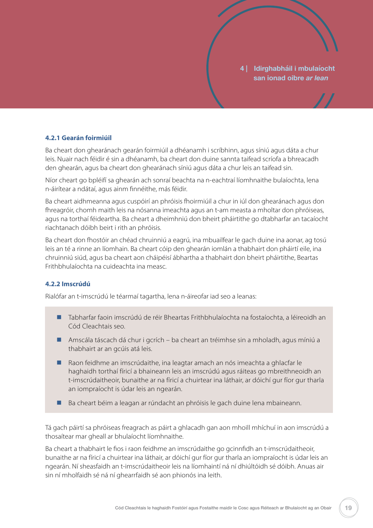#### **4.2.1 Gearán foirmiúil**

Ba cheart don ghearánach gearán foirmiúil a dhéanamh i scríbhinn, agus síniú agus dáta a chur leis. Nuair nach féidir é sin a dhéanamh, ba cheart don duine sannta taifead scríofa a bhreacadh den ghearán, agus ba cheart don ghearánach síniú agus dáta a chur leis an taifead sin.

Níor cheart go bpléifí sa ghearán ach sonraí beachta na n-eachtraí líomhnaithe bulaíochta, lena n-áirítear a ndátaí, agus ainm finnéithe, más féidir.

Ba cheart aidhmeanna agus cuspóirí an phróisis fhoirmiúil a chur in iúl don ghearánach agus don fhreagróir, chomh maith leis na nósanna imeachta agus an t-am measta a mholtar don phróiseas, agus na torthaí féideartha. Ba cheart a dheimhniú don bheirt pháirtithe go dtabharfar an tacaíocht riachtanach dóibh beirt i rith an phróisis.

Ba cheart don fhostóir an chéad chruinniú a eagrú, ina mbuailfear le gach duine ina aonar, ag tosú leis an té a rinne an líomhain. Ba cheart cóip den ghearán iomlán a thabhairt don pháirtí eile, ina chruinniú siúd, agus ba cheart aon cháipéisí ábhartha a thabhairt don bheirt pháirtithe, Beartas Frithbhulaíochta na cuideachta ina measc.

#### **4.2.2 Imscrúdú**

Rialófar an t-imscrúdú le téarmaí tagartha, lena n-áireofar iad seo a leanas:

- Tabharfar faoin imscrúdú de réir Bheartas Frithbhulaíochta na fostaíochta, a léireoidh an Cód Cleachtais seo.
- Amscála táscach dá chur i gcrích ba cheart an tréimhse sin a mholadh, agus míniú a thabhairt ar an gcúis atá leis.
- n Raon feidhme an imscrúdaithe, ina leagtar amach an nós imeachta a ghlacfar le haghaidh torthaí fíricí a bhaineann leis an imscrúdú agus ráiteas go mbreithneoidh an t-imscrúdaitheoir, bunaithe ar na fíricí a chuirtear ina láthair, ar dóichí gur fíor gur tharla an iompraíocht is údar leis an ngearán.
- Ba cheart béim a leagan ar rúndacht an phróisis le gach duine lena mbaineann.

Tá gach páirtí sa phróiseas freagrach as páirt a ghlacadh gan aon mhoill mhíchuí in aon imscrúdú a thosaítear mar gheall ar bhulaíocht líomhnaithe.

Ba cheart a thabhairt le fios i raon feidhme an imscrúdaithe go gcinnfidh an t-imscrúdaitheoir, bunaithe ar na fíricí a chuirtear ina láthair, ar dóichí gur fíor gur tharla an iompraíocht is údar leis an ngearán. Ní sheasfaidh an t-imscrúdaitheoir leis na líomhaintí ná ní dhiúltóidh sé dóibh. Anuas air sin ní mholfaidh sé ná ní ghearrfaidh sé aon phionós ina leith.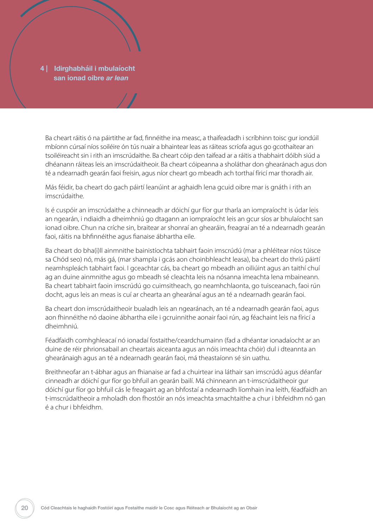Ba cheart ráitis ó na páirtithe ar fad, finnéithe ina measc, a thaifeadadh i scríbhinn toisc gur iondúil mbíonn cúrsaí níos soiléire ón tús nuair a bhaintear leas as ráiteas scríofa agus go gcothaítear an tsoiléireacht sin i rith an imscrúdaithe. Ba cheart cóip den taifead ar a ráitis a thabhairt dóibh siúd a dhéanann ráiteas leis an imscrúdaitheoir. Ba cheart cóipeanna a sholáthar don ghearánach agus don té a ndearnadh gearán faoi freisin, agus níor cheart go mbeadh ach torthaí fíricí mar thoradh air.

Más féidir, ba cheart do gach páirtí leanúint ar aghaidh lena gcuid oibre mar is gnáth i rith an imscrúdaithe.

Is é cuspóir an imscrúdaithe a chinneadh ar dóichí gur fíor gur tharla an iompraíocht is údar leis an ngearán, i ndiaidh a dheimhniú go dtagann an iompraíocht leis an gcur síos ar bhulaíocht san ionad oibre. Chun na críche sin, braitear ar shonraí an ghearáin, freagraí an té a ndearnadh gearán faoi, ráitis na bhfinnéithe agus fianaise ábhartha eile.

Ba cheart do bha(i)ll ainmnithe bainistíochta tabhairt faoin imscrúdú (mar a phléitear níos túisce sa Chód seo) nó, más gá, (mar shampla i gcás aon choinbhleacht leasa), ba cheart do thríú páirtí neamhspleách tabhairt faoi. I gceachtar cás, ba cheart go mbeadh an oiliúint agus an taithí chuí ag an duine ainmnithe agus go mbeadh sé cleachta leis na nósanna imeachta lena mbaineann. Ba cheart tabhairt faoin imscrúdú go cuimsitheach, go neamhchlaonta, go tuisceanach, faoi rún docht, agus leis an meas is cuí ar chearta an ghearánaí agus an té a ndearnadh gearán faoi.

Ba cheart don imscrúdaitheoir bualadh leis an ngearánach, an té a ndearnadh gearán faoi, agus aon fhinnéithe nó daoine ábhartha eile i gcruinnithe aonair faoi rún, ag féachaint leis na fíricí a dheimhniú.

Féadfaidh comhghleacaí nó ionadaí fostaithe/ceardchumainn (fad a dhéantar ionadaíocht ar an duine de réir phrionsabail an cheartais aiceanta agus an nóis imeachta chóir) dul i dteannta an ghearánaigh agus an té a ndearnadh gearán faoi, má theastaíonn sé sin uathu.

Breithneofar an t-ábhar agus an fhianaise ar fad a chuirtear ina láthair san imscrúdú agus déanfar cinneadh ar dóichí gur fíor go bhfuil an gearán bailí. Má chinneann an t-imscrúdaitheoir gur dóichí gur fíor go bhfuil cás le freagairt ag an bhfostaí a ndearnadh líomhain ina leith, féadfaidh an t-imscrúdaitheoir a mholadh don fhostóir an nós imeachta smachtaithe a chur i bhfeidhm nó gan é a chur i bhfeidhm.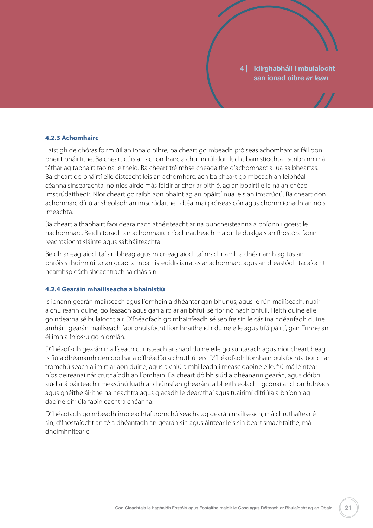#### **4.2.3 Achomhairc**

Laistigh de chóras foirmiúil an ionaid oibre, ba cheart go mbeadh próiseas achomharc ar fáil don bheirt pháirtithe. Ba cheart cúis an achomhairc a chur in iúl don lucht bainistíochta i scríbhinn má táthar ag tabhairt faoina leithéid. Ba cheart tréimhse cheadaithe d'achomharc a lua sa bheartas. Ba cheart do pháirtí eile éisteacht leis an achomharc, ach ba cheart go mbeadh an leibhéal céanna sinsearachta, nó níos airde más féidir ar chor ar bith é, ag an bpáirtí eile ná an chéad imscrúdaitheoir. Níor cheart go raibh aon bhaint ag an bpáirtí nua leis an imscrúdú. Ba cheart don achomharc díriú ar sheoladh an imscrúdaithe i dtéarmaí próiseas cóir agus chomhlíonadh an nóis imeachta.

Ba cheart a thabhairt faoi deara nach athéisteacht ar na buncheisteanna a bhíonn i gceist le hachomharc. Beidh toradh an achomhairc críochnaitheach maidir le dualgais an fhostóra faoin reachtaíocht sláinte agus sábháilteachta.

Beidh ar eagraíochtaí an-bheag agus micr-eagraíochtaí machnamh a dhéanamh ag tús an phróisis fhoirmiúil ar an gcaoi a mbainisteoidís iarratas ar achomharc agus an dteastódh tacaíocht neamhspleách sheachtrach sa chás sin.

#### **4.2.4 Gearáin mhailíseacha a bhainistiú**

Is ionann gearán mailíseach agus líomhain a dhéantar gan bhunús, agus le rún mailíseach, nuair a chuireann duine, go feasach agus gan aird ar an bhfuil sé fíor nó nach bhfuil, i leith duine eile go ndearna sé bulaíocht air. D'fhéadfadh go mbainfeadh sé seo freisin le cás ina ndéanfadh duine amháin gearán mailíseach faoi bhulaíocht líomhnaithe idir duine eile agus tríú páirtí, gan fírinne an éilimh a fhiosrú go hiomlán.

D'fhéadfadh gearán mailíseach cur isteach ar shaol duine eile go suntasach agus níor cheart beag is fiú a dhéanamh den dochar a d'fhéadfaí a chruthú leis. D'fhéadfadh líomhain bulaíochta tionchar tromchúiseach a imirt ar aon duine, agus a chlú a mhilleadh i measc daoine eile, fiú má léirítear níos deireanaí nár cruthaíodh an líomhain. Ba cheart dóibh siúd a dhéanann gearán, agus dóibh siúd atá páirteach i measúnú luath ar chúinsí an ghearáin, a bheith eolach i gcónaí ar chomhthéacs agus gnéithe áirithe na heachtra agus glacadh le dearcthaí agus tuairimí difriúla a bhíonn ag daoine difriúla faoin eachtra chéanna.

D'fhéadfadh go mbeadh impleachtaí tromchúiseacha ag gearán mailíseach, má chruthaítear é sin, d'fhostaíocht an té a dhéanfadh an gearán sin agus áirítear leis sin beart smachtaithe, má dheimhnítear é.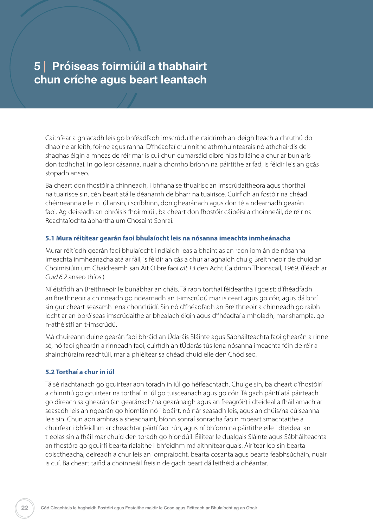# **5 | Próiseas foirmiúil a thabhairt chun críche agus beart leantach**

Caithfear a ghlacadh leis go bhféadfadh imscrúduithe caidrimh an-deighilteach a chruthú do dhaoine ar leith, foirne agus ranna. D'fhéadfaí cruinnithe athmhuintearais nó athchairdis de shaghas éigin a mheas de réir mar is cuí chun cumarsáid oibre níos folláine a chur ar bun arís don todhchaí. In go leor cásanna, nuair a chomhoibríonn na páirtithe ar fad, is féidir leis an gcás stopadh anseo.

Ba cheart don fhostóir a chinneadh, i bhfianaise thuairisc an imscrúdaitheora agus thorthaí na tuairisce sin, cén beart atá le déanamh de bharr na tuairisce. Cuirfidh an fostóir na chéad chéimeanna eile in iúl ansin, i scríbhinn, don ghearánach agus don té a ndearnadh gearán faoi. Ag deireadh an phróisis fhoirmiúil, ba cheart don fhostóir cáipéisí a choinneáil, de réir na Reachtaíochta ábhartha um Chosaint Sonraí.

#### **5.1 Mura réitítear gearán faoi bhulaíocht leis na nósanna imeachta inmheánacha**

Murar réitíodh gearán faoi bhulaíocht i ndiaidh leas a bhaint as an raon iomlán de nósanna imeachta inmheánacha atá ar fáil, is féidir an cás a chur ar aghaidh chuig Breithneoir de chuid an Choimisiúin um Chaidreamh san Áit Oibre faoi *alt 13* den Acht Caidrimh Thionscail, 1969. (Féach ar *Cuid 6.2* anseo thíos.)

Ní éistfidh an Breithneoir le bunábhar an cháis. Tá raon torthaí féideartha i gceist: d'fhéadfadh an Breithneoir a chinneadh go ndearnadh an t-imscrúdú mar is ceart agus go cóir, agus dá bhrí sin gur cheart seasamh lena chonclúidí. Sin nó d'fhéadfadh an Breithneoir a chinneadh go raibh locht ar an bpróiseas imscrúdaithe ar bhealach éigin agus d'fhéadfaí a mholadh, mar shampla, go n-athéistfí an t-imscrúdú.

Má chuireann duine gearán faoi bhráid an Údaráis Sláinte agus Sábháilteachta faoi ghearán a rinne sé, nó faoi ghearán a rinneadh faoi, cuirfidh an tÚdarás tús lena nósanna imeachta féin de réir a shainchúraim reachtúil, mar a phléitear sa chéad chuid eile den Chód seo.

#### **5.2 Torthaí a chur in iúl**

Tá sé riachtanach go gcuirtear aon toradh in iúl go héifeachtach. Chuige sin, ba cheart d'fhostóirí a chinntiú go gcuirtear na torthaí in iúl go tuisceanach agus go cóir. Tá gach páirtí atá páirteach go díreach sa ghearán (an gearánach/na gearánaigh agus an freagróir) i dteideal a fháil amach ar seasadh leis an ngearán go hiomlán nó i bpáirt, nó nár seasadh leis, agus an chúis/na cúiseanna leis sin. Chun aon amhras a sheachaint, bíonn sonraí sonracha faoin mbeart smachtaithe a chuirfear i bhfeidhm ar cheachtar páirtí faoi rún, agus ní bhíonn na páirtithe eile i dteideal an t-eolas sin a fháil mar chuid den toradh go hiondúil. Éilítear le dualgais Sláinte agus Sábháilteachta an fhostóra go gcuirfí bearta rialaithe i bhfeidhm má aithnítear guais. Áirítear leo sin bearta coisctheacha, deireadh a chur leis an iompraíocht, bearta cosanta agus bearta feabhsúcháin, nuair is cuí. Ba cheart taifid a choinneáil freisin de gach beart dá leithéid a dhéantar.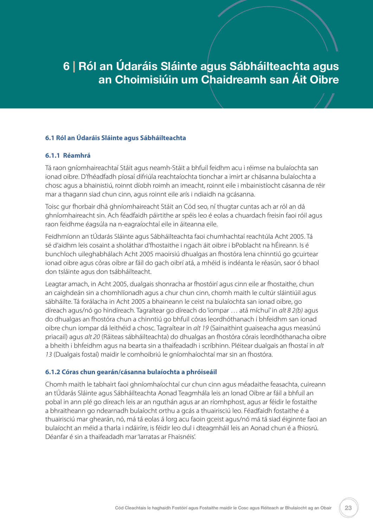**6 | Ról an Údaráis Sláinte agus Sábháilteachta agus an Choimisiúin um Chaidreamh san Áit Oibre**

#### **6.1 Ról an Údaráis Sláinte agus Sábháilteachta**

#### **6.1.1 Réamhrá**

Tá raon gníomhaireachtaí Stáit agus neamh-Stáit a bhfuil feidhm acu i réimse na bulaíochta san ionad oibre. D'fhéadfadh píosaí difriúla reachtaíochta tionchar a imirt ar chásanna bulaíochta a chosc agus a bhainistiú, roinnt díobh roimh an imeacht, roinnt eile i mbainistíocht cásanna de réir mar a thagann siad chun cinn, agus roinnt eile arís i ndiaidh na gcásanna.

Toisc gur fhorbair dhá ghníomhaireacht Stáit an Cód seo, ní thugtar cuntas ach ar ról an dá ghníomhaireacht sin. Ach féadfaidh páirtithe ar spéis leo é eolas a chuardach freisin faoi róil agus raon feidhme éagsúla na n-eagraíochtaí eile in áiteanna eile.

Feidhmíonn an tÚdarás Sláinte agus Sábháilteachta faoi chumhachtaí reachtúla Acht 2005. Tá sé d'aidhm leis cosaint a sholáthar d'fhostaithe i ngach áit oibre i bPoblacht na hÉireann. Is é bunchloch uileghabhálach Acht 2005 maoirsiú dhualgas an fhostóra lena chinntiú go gcuirtear ionad oibre agus córas oibre ar fáil do gach oibrí atá, a mhéid is indéanta le réasún, saor ó bhaol don tsláinte agus don tsábháilteacht.

Leagtar amach, in Acht 2005, dualgais shonracha ar fhostóirí agus cinn eile ar fhostaithe, chun an caighdeán sin a chomhlíonadh agus a chur chun cinn, chomh maith le cultúr sláintiúil agus sábháilte. Tá forálacha in Acht 2005 a bhaineann le ceist na bulaíochta san ionad oibre, go díreach agus/nó go hindíreach. Tagraítear go díreach do 'iompar … atá míchuí' in *alt 8 2(b)* agus do dhualgas an fhostóra chun a chinntiú go bhfuil córas leordhóthanach i bhfeidhm san ionad oibre chun iompar dá leithéid a chosc. Tagraítear in *alt 19* (Sainaithint guaiseacha agus measúnú priacail) agus *alt 20* (Ráiteas sábháilteachta) do dhualgas an fhostóra córais leordhóthanacha oibre a bheith i bhfeidhm agus na bearta sin a thaifeadadh i scríbhinn. Pléitear dualgais an fhostaí in *alt 13* (Dualgais fostaí) maidir le comhoibriú le gníomhaíochtaí mar sin an fhostóra.

#### **6.1.2 Córas chun gearán/cásanna bulaíochta a phróiseáil**

Chomh maith le tabhairt faoi ghníomhaíochtaí cur chun cinn agus méadaithe feasachta, cuireann an tÚdarás Sláinte agus Sábháilteachta Aonad Teagmhála leis an Ionad Oibre ar fáil a bhfuil an pobal in ann plé go díreach leis ar an nguthán agus ar an ríomhphost, agus ar féidir le fostaithe a bhraitheann go ndearnadh bulaíocht orthu a gcás a thuairisciú leo. Féadfaidh fostaithe é a thuairisciú mar ghearán, nó, má tá eolas á lorg acu faoin gceist agus/nó má tá siad éiginnte faoi an bulaíocht an méid a tharla i ndáiríre, is féidir leo dul i dteagmháil leis an Aonad chun é a fhiosrú. Déanfar é sin a thaifeadadh mar 'Iarratas ar Fhaisnéis'.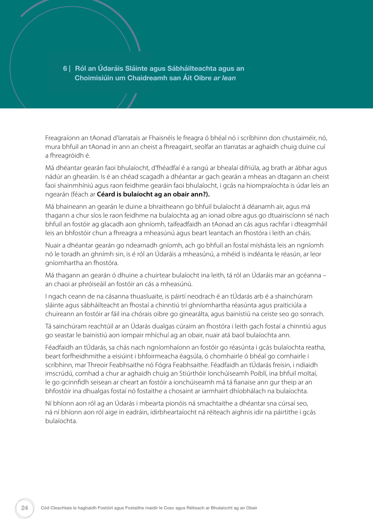**6 | Ról an Údaráis Sláinte agus Sábháilteachta agus an Choimisiúin um Chaidreamh san Áit Oibre** *ar lean*

Freagraíonn an tAonad d'Iarratais ar Fhaisnéis le freagra ó bhéal nó i scríbhinn don chustaiméir, nó, mura bhfuil an tAonad in ann an cheist a fhreagairt, seolfar an tIarratas ar aghaidh chuig duine cuí a fhreagróidh é.

Má dhéantar gearán faoi bhulaíocht, d'fhéadfaí é a rangú ar bhealaí difriúla, ag brath ar ábhar agus nádúr an ghearáin. Is é an chéad scagadh a dhéantar ar gach gearán a mheas an dtagann an cheist faoi shainmhíniú agus raon feidhme gearáin faoi bhulaíocht, i gcás na hiompraíochta is údar leis an ngearán (féach ar **Céard is bulaíocht ag an obair ann?).**

Má bhaineann an gearán le duine a bhraitheann go bhfuil bulaíocht á déanamh air, agus má thagann a chur síos le raon feidhme na bulaíochta ag an ionad oibre agus go dtuairiscíonn sé nach bhfuil an fostóir ag glacadh aon ghníomh, taifeadfaidh an tAonad an cás agus rachfar i dteagmháil leis an bhfostóir chun a fhreagra a mheasúnú agus beart leantach an fhostóra i leith an cháis.

Nuair a dhéantar gearán go ndearnadh gníomh, ach go bhfuil an fostaí míshásta leis an ngníomh nó le toradh an ghnímh sin, is é ról an Údaráis a mheasúnú, a mhéid is indéanta le réasún, ar leor gníomhartha an fhostóra.

Má thagann an gearán ó dhuine a chuirtear bulaíocht ina leith, tá ról an Údaráis mar an gcéanna – an chaoi ar phróiseáil an fostóir an cás a mheasúnú.

I ngach ceann de na cásanna thuasluaite, is páirtí neodrach é an tÚdarás arb é a shainchúram sláinte agus sábháilteacht an fhostaí a chinntiú trí ghníomhartha réasúnta agus praiticiúla a chuireann an fostóir ar fáil ina chórais oibre go ginearálta, agus bainistiú na ceiste seo go sonrach.

Tá sainchúram reachtúil ar an Údarás dualgas cúraim an fhostóra i leith gach fostaí a chinntiú agus go seastar le bainistiú aon iompair mhíchuí ag an obair, nuair atá baol bulaíochta ann.

Féadfaidh an tÚdarás, sa chás nach ngníomhaíonn an fostóir go réasúnta i gcás bulaíochta reatha, beart forfheidhmithe a eisiúint i bhfoirmeacha éagsúla, ó chomhairle ó bhéal go comhairle i scríbhinn, mar Threoir Feabhsaithe nó Fógra Feabhsaithe. Féadfaidh an tÚdarás freisin, i ndiaidh imscrúdú, comhad a chur ar aghaidh chuig an Stiúrthóir Ionchúiseamh Poiblí, ina bhfuil moltaí, le go gcinnfidh seisean ar cheart an fostóir a ionchúiseamh má tá fianaise ann gur theip ar an bhfostóir ina dhualgas fostaí nó fostaithe a chosaint ar iarmhairt dhíobhálach na bulaíochta.

Ní bhíonn aon ról ag an Údarás i mbearta pionóis ná smachtaithe a dhéantar sna cúrsaí seo, ná ní bhíonn aon ról aige in eadráin, idirbheartaíocht ná réiteach aighnis idir na páirtithe i gcás bulaíochta.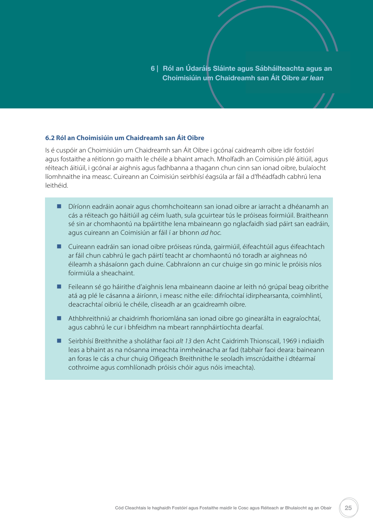**6 | Ról an Údaráis Sláinte agus Sábháilteachta agus an Choimisiúin um Chaidreamh san Áit Oibre** *ar lean*

#### **6.2 Ról an Choimisiúin um Chaidreamh san Áit Oibre**

Is é cuspóir an Choimisiúin um Chaidreamh san Áit Oibre i gcónaí caidreamh oibre idir fostóirí agus fostaithe a réitíonn go maith le chéile a bhaint amach. Mholfadh an Coimisiún plé áitiúil, agus réiteach áitiúil, i gcónaí ar aighnis agus fadhbanna a thagann chun cinn san ionad oibre, bulaíocht líomhnaithe ina measc. Cuireann an Coimisiún seirbhísí éagsúla ar fáil a d'fhéadfadh cabhrú lena leithéid.

- Díríonn eadráin aonair agus chomhchoiteann san ionad oibre ar iarracht a dhéanamh an cás a réiteach go háitiúil ag céim luath, sula gcuirtear tús le próiseas foirmiúil. Braitheann sé sin ar chomhaontú na bpáirtithe lena mbaineann go nglacfaidh siad páirt san eadráin, agus cuireann an Coimisiún ar fáil í ar bhonn *ad hoc.*
- Cuireann eadráin san ionad oibre próiseas rúnda, gairmiúil, éifeachtúil agus éifeachtach ar fáil chun cabhrú le gach páirtí teacht ar chomhaontú nó toradh ar aighneas nó éileamh a shásaíonn gach duine. Cabhraíonn an cur chuige sin go minic le próisis níos foirmiúla a sheachaint.
- n Feileann sé go háirithe d'aighnis lena mbaineann daoine ar leith nó grúpaí beag oibrithe atá ag plé le cásanna a áiríonn, i measc nithe eile: difríochtaí idirphearsanta, coimhlintí, deacrachtaí oibriú le chéile, cliseadh ar an gcaidreamh oibre.
- Athbhreithniú ar chaidrimh fhoriomlána san ionad oibre go ginearálta in eagraíochtaí, agus cabhrú le cur i bhfeidhm na mbeart rannpháirtíochta dearfaí.
- Seirbhísí Breithnithe a sholáthar faoi *alt 13* den Acht Caidrimh Thionscail, 1969 i ndiaidh leas a bhaint as na nósanna imeachta inmheánacha ar fad (tabhair faoi deara: baineann an foras le cás a chur chuig Oifigeach Breithnithe le seoladh imscrúdaithe i dtéarmaí cothroime agus comhlíonadh próisis chóir agus nóis imeachta).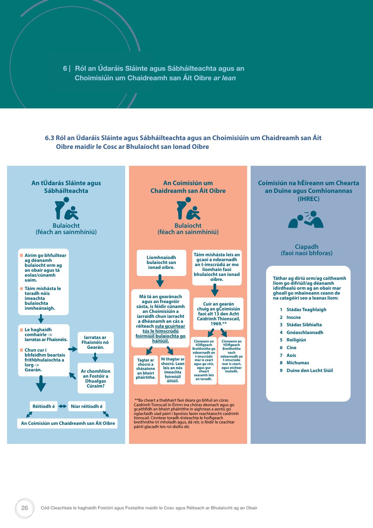**6 | Ról an Údaráis Sláinte agus Sábháilteachta agus an Choimisiúin um Chaidreamh san Áit Oibre** *ar lean*

**6.3 Ról an Údaráis Sláinte agus Sábháilteachta agus an Choimisiúin um Chaidreamh san Áit Oibre maidir le Cosc ar Bhulaíocht san Ionad Oibre**

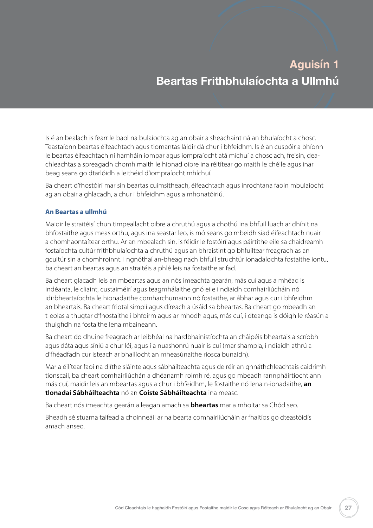# **Aguisín 1 Beartas Frithbhulaíochta a Ullmhú**

Is é an bealach is fearr le baol na bulaíochta ag an obair a sheachaint ná an bhulaíocht a chosc. Teastaíonn beartas éifeachtach agus tiomantas láidir dá chur i bhfeidhm. Is é an cuspóir a bhíonn le beartas éifeachtach ní hamháin iompar agus iompraíocht atá míchuí a chosc ach, freisin, deachleachtas a spreagadh chomh maith le hionad oibre ina réitítear go maith le chéile agus inar beag seans go dtarlóidh a leithéid d'iompraíocht mhíchuí.

Ba cheart d'fhostóirí mar sin beartas cuimsitheach, éifeachtach agus inrochtana faoin mbulaíocht ag an obair a ghlacadh, a chur i bhfeidhm agus a mhonatóiriú.

#### **An Beartas a ullmhú**

Maidir le straitéisí chun timpeallacht oibre a chruthú agus a chothú ina bhfuil luach ar dhínit na bhfostaithe agus meas orthu, agus ina seastar leo, is mó seans go mbeidh siad éifeachtach nuair a chomhaontaítear orthu. Ar an mbealach sin, is féidir le fostóirí agus páirtithe eile sa chaidreamh fostaíochta cultúr frithbhulaíochta a chruthú agus an bhraistint go bhfuiltear freagrach as an gcultúr sin a chomhroinnt. I ngnóthaí an-bheag nach bhfuil struchtúr ionadaíochta fostaithe iontu, ba cheart an beartas agus an straitéis a phlé leis na fostaithe ar fad.

Ba cheart glacadh leis an mbeartas agus an nós imeachta gearán, más cuí agus a mhéad is indéanta, le cliaint, custaiméirí agus teagmhálaithe gnó eile i ndiaidh comhairliúcháin nó idirbheartaíochta le hionadaithe comharchumainn nó fostaithe, ar ábhar agus cur i bhfeidhm an bheartais. Ba cheart friotal simplí agus díreach a úsáid sa bheartas. Ba cheart go mbeadh an t-eolas a thugtar d'fhostaithe i bhfoirm agus ar mhodh agus, más cuí, i dteanga is dóigh le réasún a thuigfidh na fostaithe lena mbaineann.

Ba cheart do dhuine freagrach ar leibhéal na hardbhainistíochta an cháipéis bheartais a scríobh agus dáta agus síniú a chur léi, agus í a nuashonrú nuair is cuí (mar shampla, i ndiaidh athrú a d'fhéadfadh cur isteach ar bhailíocht an mheasúnaithe riosca bunaidh).

Mar a éilítear faoi na dlíthe sláinte agus sábháilteachta agus de réir an ghnáthchleachtais caidrimh tionscail, ba cheart comhairliúchán a dhéanamh roimh ré, agus go mbeadh rannpháirtíocht ann más cuí, maidir leis an mbeartas agus a chur i bhfeidhm, le fostaithe nó lena n-ionadaithe, **an tIonadaí Sábháilteachta** nó an **Coiste Sábháilteachta** ina measc.

Ba cheart nós imeachta gearán a leagan amach sa **bheartas** mar a mholtar sa Chód seo.

Bheadh sé stuama taifead a choinneáil ar na bearta comhairliúcháin ar fhaitíos go dteastóidís amach anseo.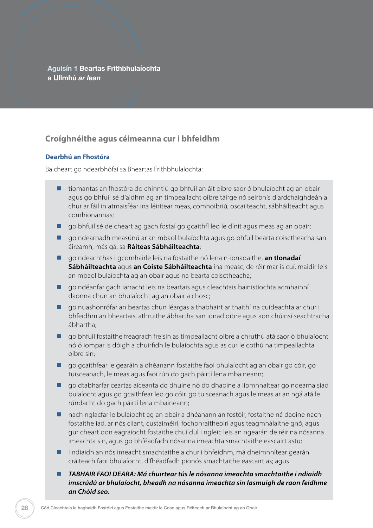**Aguisín 1 Beartas Frithbhulaíochta a Ullmhú** *ar lean*

## **Croíghnéithe agus céimeanna cur i bhfeidhm**

#### **Dearbhú an Fhostóra**

Ba cheart go ndearbhófaí sa Bheartas Frithbhulaíochta:

- tiomantas an fhostóra do chinntiú go bhfuil an áit oibre saor ó bhulaíocht ag an obair agus go bhfuil sé d'aidhm ag an timpeallacht oibre táirge nó seirbhís d'ardchaighdeán a chur ar fáil in atmaisféar ina léirítear meas, comhoibriú, oscailteacht, sábháilteacht agus comhionannas;
- go bhfuil sé de cheart ag gach fostaí go gcaithfí leo le dínit agus meas ag an obair;
- n go ndearnadh measúnú ar an mbaol bulaíochta agus go bhfuil bearta coisctheacha san áireamh, más gá, sa **Ráiteas Sábháilteachta**;
- n go ndeachthas i gcomhairle leis na fostaithe nó lena n-ionadaithe, **an tIonadaí Sábháilteachta** agus **an Coiste Sábháilteachta** ina measc, de réir mar is cuí, maidir leis an mbaol bulaíochta ag an obair agus na bearta coisctheacha;
- go ndéanfar gach iarracht leis na beartais agus cleachtais bainistíochta acmhainní daonna chun an bhulaíocht ag an obair a chosc;
- n go nuashonrófar an beartas chun léargas a thabhairt ar thaithí na cuideachta ar chur i bhfeidhm an bheartais, athruithe ábhartha san ionad oibre agus aon chúinsí seachtracha ábhartha;
- n go bhfuil fostaithe freagrach freisin as timpeallacht oibre a chruthú atá saor ó bhulaíocht nó ó iompar is dóigh a chuirfidh le bulaíochta agus as cur le cothú na timpeallachta oibre sin;
- n go gcaithfear le gearáin a dhéanann fostaithe faoi bhulaíocht ag an obair go cóir, go tuisceanach, le meas agus faoi rún do gach páirtí lena mbaineann;
- n go dtabharfar ceartas aiceanta do dhuine nó do dhaoine a líomhnaítear go ndearna siad bulaíocht agus go gcaithfear leo go cóir, go tuisceanach agus le meas ar an ngá atá le rúndacht do gach páirtí lena mbaineann;
- nach nglacfar le bulaíocht ag an obair a dhéanann an fostóir, fostaithe ná daoine nach fostaithe iad, ar nós cliant, custaiméirí, fochonraitheoirí agus teagmhálaithe gnó, agus gur cheart don eagraíocht fostaithe chuí dul i ngleic leis an ngearán de réir na nósanna imeachta sin, agus go bhféadfadh nósanna imeachta smachtaithe eascairt astu;
- n i ndiaidh an nós imeacht smachtaithe a chur i bhfeidhm, má dheimhnítear gearán cráiteach faoi bhulaíocht, d'fhéadfadh pionós smachtaithe eascairt as; agus
- n *TABHAIR FAOI DEARA: Má chuirtear tús le nósanna imeachta smachtaithe i ndiaidh imscrúdú ar bhulaíocht, bheadh na nósanna imeachta sin lasmuigh de raon feidhme an Chóid seo.*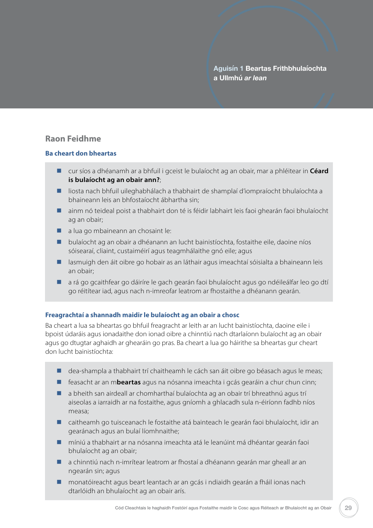## **Raon Feidhme**

#### **Ba cheart don bheartas**

- cur síos a dhéanamh ar a bhfuil i gceist le bulaíocht ag an obair, mar a phléitear in **Céard is bulaíocht ag an obair ann?**;
- liosta nach bhfuil uileghabhálach a thabhairt de shamplaí d'iompraíocht bhulaíochta a bhaineann leis an bhfostaíocht ábhartha sin;
- n ainm nó teideal poist a thabhairt don té is féidir labhairt leis faoi ghearán faoi bhulaíocht ag an obair;
- $\blacksquare$  a lua go mbaineann an chosaint le:
- bulaíocht ag an obair a dhéanann an lucht bainistíochta, fostaithe eile, daoine níos sóisearaí, cliaint, custaiméirí agus teagmhálaithe gnó eile; agus
- n lasmuigh den áit oibre go hobair as an láthair agus imeachtaí sóisialta a bhaineann leis an obair;
- n a rá go gcaithfear go dáiríre le gach gearán faoi bhulaíocht agus go ndéileálfar leo go dtí go réitítear iad, agus nach n-imreofar leatrom ar fhostaithe a dhéanann gearán.

### **Freagrachtaí a shannadh maidir le bulaíocht ag an obair a chosc**

Ba cheart a lua sa bheartas go bhfuil freagracht ar leith ar an lucht bainistíochta, daoine eile i bpoist údaráis agus ionadaithe don ionad oibre a chinntiú nach dtarlaíonn bulaíocht ag an obair agus go dtugtar aghaidh ar ghearáin go pras. Ba cheart a lua go háirithe sa bheartas gur cheart don lucht bainistíochta:

- dea-shampla a thabhairt trí chaitheamh le cách san áit oibre go béasach agus le meas;
- feasacht ar an m**beartas** agus na nósanna imeachta i gcás gearáin a chur chun cinn;
- n a bheith san airdeall ar chomharthaí bulaíochta ag an obair trí bhreathnú agus trí aiseolas a iarraidh ar na fostaithe, agus gníomh a ghlacadh sula n-éiríonn fadhb níos measa;
- n caitheamh go tuisceanach le fostaithe atá bainteach le gearán faoi bhulaíocht, idir an gearánach agus an bulaí líomhnaithe;
- n míniú a thabhairt ar na nósanna imeachta atá le leanúint má dhéantar gearán faoi bhulaíocht ag an obair;
- n a chinntiú nach n-imrítear leatrom ar fhostaí a dhéanann gearán mar gheall ar an ngearán sin; agus
- n monatóireacht agus beart leantach ar an gcás i ndiaidh gearán a fháil ionas nach dtarlóidh an bhulaíocht ag an obair arís.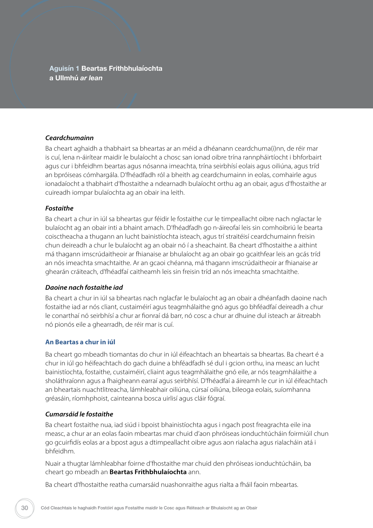**Aguisín 1 Beartas Frithbhulaíochta a Ullmhú** *ar lean*

#### *Ceardchumainn*

Ba cheart aghaidh a thabhairt sa bheartas ar an méid a dhéanann ceardchuma(i)nn, de réir mar is cuí, lena n-áirítear maidir le bulaíocht a chosc san ionad oibre trína rannpháirtíocht i bhforbairt agus cur i bhfeidhm beartas agus nósanna imeachta, trína seirbhísí eolais agus oiliúna, agus tríd an bpróiseas cómhargála. D'fhéadfadh ról a bheith ag ceardchumainn in eolas, comhairle agus ionadaíocht a thabhairt d'fhostaithe a ndearnadh bulaíocht orthu ag an obair, agus d'fhostaithe ar cuireadh iompar bulaíochta ag an obair ina leith.

#### *Fostaithe*

Ba cheart a chur in iúl sa bheartas gur féidir le fostaithe cur le timpeallacht oibre nach nglactar le bulaíocht ag an obair inti a bhaint amach. D'fhéadfadh go n-áireofaí leis sin comhoibriú le bearta coisctheacha a thugann an lucht bainistíochta isteach, agus trí straitéisí ceardchumainn freisin chun deireadh a chur le bulaíocht ag an obair nó í a sheachaint. Ba cheart d'fhostaithe a aithint má thagann imscrúdaitheoir ar fhianaise ar bhulaíocht ag an obair go gcaithfear leis an gcás tríd an nós imeachta smachtaithe. Ar an gcaoi chéanna, má thagann imscrúdaitheoir ar fhianaise ar ghearán cráiteach, d'fhéadfaí caitheamh leis sin freisin tríd an nós imeachta smachtaithe.

#### *Daoine nach fostaithe iad*

Ba cheart a chur in iúl sa bheartas nach nglacfar le bulaíocht ag an obair a dhéanfadh daoine nach fostaithe iad ar nós cliant, custaiméirí agus teagmhálaithe gnó agus go bhféadfaí deireadh a chur le conarthaí nó seirbhísí a chur ar fionraí dá barr, nó cosc a chur ar dhuine dul isteach ar áitreabh nó pionós eile a ghearradh, de réir mar is cuí.

#### **An Beartas a chur in iúl**

Ba cheart go mbeadh tiomantas do chur in iúl éifeachtach an bheartais sa bheartas. Ba cheart é a chur in iúl go héifeachtach do gach duine a bhféadfadh sé dul i gcion orthu, ina measc an lucht bainistíochta, fostaithe, custaiméirí, cliaint agus teagmhálaithe gnó eile, ar nós teagmhálaithe a sholáthraíonn agus a fhaigheann earraí agus seirbhísí. D'fhéadfaí a áireamh le cur in iúl éifeachtach an bheartais nuachtlitreacha, lámhleabhair oiliúna, cúrsaí oiliúna, bileoga eolais, suíomhanna gréasáin, ríomhphoist, cainteanna bosca uirlisí agus cláir fógraí.

#### *Cumarsáid le fostaithe*

Ba cheart fostaithe nua, iad siúd i bpoist bhainistíochta agus i ngach post freagrachta eile ina measc, a chur ar an eolas faoin mbeartas mar chuid d'aon phróiseas ionduchtúcháin foirmiúil chun go gcuirfidís eolas ar a bpost agus a dtimpeallacht oibre agus aon rialacha agus rialacháin atá i bhfeidhm.

Nuair a thugtar lámhleabhar foirne d'fhostaithe mar chuid den phróiseas ionduchtúcháin, ba cheart go mbeadh an **Beartas Frithbhulaíochta** ann.

Ba cheart d'fhostaithe reatha cumarsáid nuashonraithe agus rialta a fháil faoin mbeartas.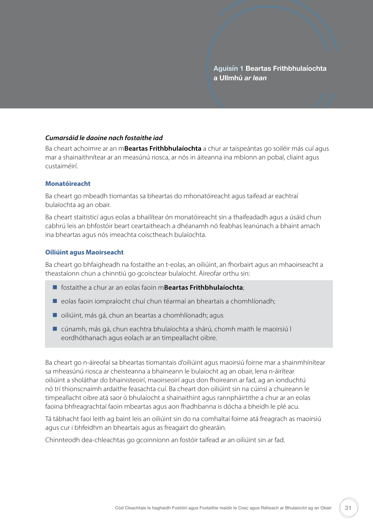#### *Cumarsáid le daoine nach fostaithe iad*

Ba cheart achoimre ar an m**Beartas Frithbhulaíochta** a chur ar taispeántas go soiléir más cuí agus mar a shainaithnítear ar an measúnú riosca, ar nós in áiteanna ina mbíonn an pobal, cliaint agus custaiméirí.

#### **Monatóireacht**

Ba cheart go mbeadh tiomantas sa bheartas do mhonatóireacht agus taifead ar eachtraí bulaíochta ag an obair.

Ba cheart staitisticí agus eolas a bhailítear ón monatóireacht sin a thaifeadadh agus a úsáid chun cabhrú leis an bhfostóir beart ceartaitheach a dhéanamh nó feabhas leanúnach a bhaint amach ina bheartas agus nós imeachta coisctheach bulaíochta.

#### **Oiliúint agus Maoirseacht**

Ba cheart go bhfaigheadh na fostaithe an t-eolas, an oiliúint, an fhorbairt agus an mhaoirseacht a theastaíonn chun a chinntiú go gcoisctear bulaíocht. Áireofar orthu sin:

- n fostaithe a chur ar an eolas faoin m**Beartas Frithbhulaíochta**;
- eolas faoin iompraíocht chuí chun téarmaí an bheartais a chomhlíonadh;
- oiliúint, más gá, chun an beartas a chomhlíonadh; agus
- n cúnamh, más gá, chun eachtra bhulaíochta a shárú, chomh maith le maoirsiú l eordhóthanach agus eolach ar an timpeallacht oibre.

Ba cheart go n-áireofaí sa bheartas tiomantais d'oiliúint agus maoirsiú foirne mar a shainmhínítear sa mheasúnú riosca ar cheisteanna a bhaineann le bulaíocht ag an obair, lena n-áirítear oiliúint a sholáthar do bhainisteoirí, maoirseoirí agus don fhoireann ar fad, ag an ionduchtú nó trí thionscnaimh ardaithe feasachta cuí. Ba cheart don oiliúint sin na cúinsí a chuireann le timpeallacht oibre atá saor ó bhulaíocht a shainaithint agus rannpháirtithe a chur ar an eolas faoina bhfreagrachtaí faoin mbeartas agus aon fhadhbanna is dócha a bheidh le plé acu.

Tá tábhacht faoi leith ag baint leis an oiliúint sin do na comhaltaí foirne atá freagrach as maoirsiú agus cur i bhfeidhm an bheartais agus as freagairt do ghearáin.

Chinnteodh dea-chleachtas go gcoinníonn an fostóir taifead ar an oiliúint sin ar fad.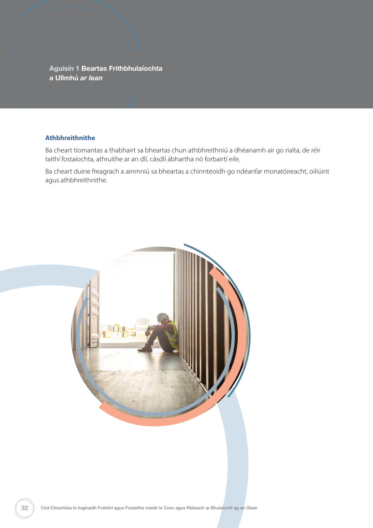**Aguisín 1 Beartas Frithbhulaíochta a Ullmhú** *ar lean*

#### **Athbhreithnithe**

Ba cheart tiomantas a thabhairt sa bheartas chun athbhreithniú a dhéanamh air go rialta, de réir taithí fostaíochta, athruithe ar an dlí, cásdlí ábhartha nó forbairtí eile.

Ba cheart duine freagrach a ainmniú sa bheartas a chinnteoidh go ndéanfar monatóireacht, oiliúint agus athbhreithnithe.

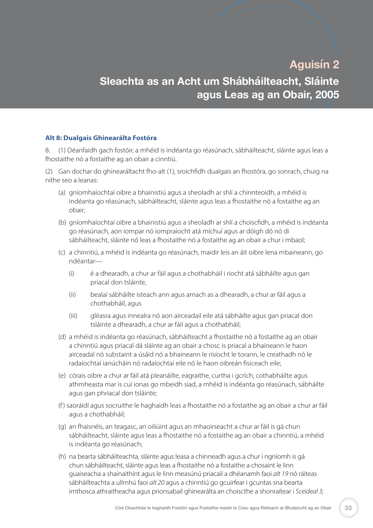# **Aguisín 2**

# **Sleachta as an Acht um Shábháilteacht, Sláinte agus Leas ag an Obair, 2005**

#### **Alt 8: Dualgais Ghinearálta Fostóra**

8. (1) Déanfaidh gach fostóir, a mhéid is indéanta go réasúnach, sábháilteacht, sláinte agus leas a fhostaithe nó a fostaithe ag an obair a cinntiú.

(2) Gan dochar do ghinearáltacht fho-alt (1), sroichfidh dualgais an fhostóra, go sonrach, chuig na nithe seo a leanas:

- (a) gníomhaíochtaí oibre a bhainistiú agus a sheoladh ar shlí a chinnteoidh, a mhéid is indéanta go réasúnach, sábháilteacht, sláinte agus leas a fhostaithe nó a fostaithe ag an obair;
- (b) gníomhaíochtaí oibre a bhainistiú agus a sheoladh ar shlí a choiscfidh, a mhéid is indéanta go réasúnach, aon iompar nó iompraíocht atá míchuí agus ar dóigh dó nó di sábháilteacht, sláinte nó leas a fhostaithe nó a fostaithe ag an obair a chur i mbaol;
- (c) a chinntiú, a mhéid is indéanta go réasúnach, maidir leis an áit oibre lena mbaineann, go ndéantar—
	- (i) é a dhearadh, a chur ar fáil agus a chothabháil i riocht atá sábháilte agus gan priacal don tsláinte,
	- (ii) bealaí sábháilte isteach ann agus amach as a dhearadh, a chur ar fáil agus a chothabháil, agus
	- (iii) gléasra agus innealra nó aon airceadail eile atá sábháilte agus gan priacal don tsláinte a dhearadh, a chur ar fáil agus a chothabháil;
- (d) a mhéid is indéanta go réasúnach, sábháilteacht a fhostaithe nó a fostaithe ag an obair a chinntiú agus priacal dá sláinte ag an obair a chosc is priacal a bhaineann le haon airceadal nó substaint a úsáid nó a bhaineann le risíocht le torann, le creathadh nó le radaíochtaí ianúcháin nó radaíochtaí eile nó le haon oibreán fisiceach eile;
- (e) córais oibre a chur ar fáil atá pleanáilte, eagraithe, curtha i gcrích, cothabháilte agus athmheasta mar is cuí ionas go mbeidh siad, a mhéid is indéanta go réasúnach, sábháilte agus gan phriacal don tsláinte;
- (f) saoráidí agus socruithe le haghaidh leas a fhostaithe nó a fostaithe ag an obair a chur ar fáil agus a chothabháil;
- (g) an fhaisnéis, an teagasc, an oiliúint agus an mhaoirseacht a chur ar fáil is gá chun sábháilteacht, sláinte agus leas a fhostaithe nó a fostaithe ag an obair a chinntiú, a mhéid is indéanta go réasúnach;
- (h) na bearta sábháilteachta, sláinte agus leasa a chinneadh agus a chur i ngníomh is gá chun sábháilteacht, sláinte agus leas a fhostaithe nó a fostaithe a chosaint le linn guaiseacha a shainaithint agus le linn measúnú priacail a dhéanamh faoi *alt 19* nó ráiteas sábháilteachta a ullmhú faoi *alt 20* agus a chinntiú go gcuirfear i gcuntas sna bearta imthosca athraitheacha agus prionsabail ghinearálta an choiscthe a shonraítear i *Sceideal 3*;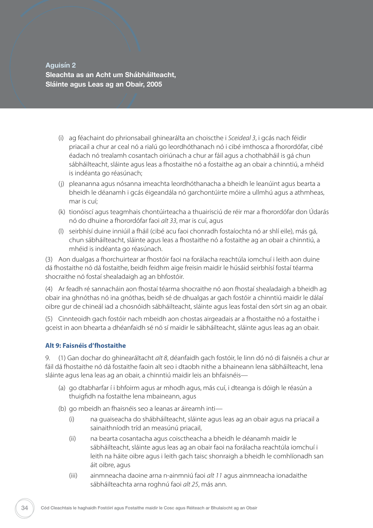#### **Aguisín 2**

**Sleachta as an Acht um Shábháilteacht, Sláinte agus Leas ag an Obair, 2005**

- (i) ag féachaint do phrionsabail ghinearálta an choiscthe i *Sceideal 3*, i gcás nach féidir priacail a chur ar ceal nó a rialú go leordhóthanach nó i cibé imthosca a fhorordófar, cibé éadach nó trealamh cosantach oiriúnach a chur ar fáil agus a chothabháil is gá chun sábháilteacht, sláinte agus leas a fhostaithe nó a fostaithe ag an obair a chinntiú, a mhéid is indéanta go réasúnach;
- (j) pleananna agus nósanna imeachta leordhóthanacha a bheidh le leanúint agus bearta a bheidh le déanamh i gcás éigeandála nó garchontúirte móire a ullmhú agus a athmheas, mar is cuí;
- (k) tionóiscí agus teagmhais chontúirteacha a thuairisciú de réir mar a fhorordófar don Údarás nó do dhuine a fhorordófar faoi *alt 33*, mar is cuí, agus
- (l) seirbhísí duine inniúil a fháil (cibé acu faoi chonradh fostaíochta nó ar shlí eile), más gá, chun sábháilteacht, sláinte agus leas a fhostaithe nó a fostaithe ag an obair a chinntiú, a mhéid is indéanta go réasúnach.

(3) Aon dualgas a fhorchuirtear ar fhostóir faoi na forálacha reachtúla iomchuí i leith aon duine dá fhostaithe nó dá fostaithe, beidh feidhm aige freisin maidir le húsáid seirbhísí fostaí téarma shocraithe nó fostaí shealadaigh ag an bhfostóir.

(4) Ar feadh ré sannacháin aon fhostaí téarma shocraithe nó aon fhostaí shealadaigh a bheidh ag obair ina ghnóthas nó ina gnóthas, beidh sé de dhualgas ar gach fostóir a chinntiú maidir le dálaí oibre gur de chineál iad a chosnóidh sábháilteacht, sláinte agus leas fostaí den sórt sin ag an obair.

(5) Cinnteoidh gach fostóir nach mbeidh aon chostas airgeadais ar a fhostaithe nó a fostaithe i gceist in aon bhearta a dhéanfaidh sé nó sí maidir le sábháilteacht, sláinte agus leas ag an obair.

#### **Alt 9: Faisnéis d'fhostaithe**

9. (1) Gan dochar do ghinearáltacht *alt 8*, déanfaidh gach fostóir, le linn dó nó di faisnéis a chur ar fáil dá fhostaithe nó dá fostaithe faoin alt seo i dtaobh nithe a bhaineann lena sábháilteacht, lena sláinte agus lena leas ag an obair, a chinntiú maidir leis an bhfaisnéis—

- (a) go dtabharfar í i bhfoirm agus ar mhodh agus, más cuí, i dteanga is dóigh le réasún a thuigfidh na fostaithe lena mbaineann, agus
- (b) go mbeidh an fhaisnéis seo a leanas ar áireamh inti—
	- (i) na guaiseacha do shábháilteacht, sláinte agus leas ag an obair agus na priacail a sainaithníodh tríd an measúnú priacail,
	- (ii) na bearta cosantacha agus coisctheacha a bheidh le déanamh maidir le sábháilteacht, sláinte agus leas ag an obair faoi na forálacha reachtúla iomchuí i leith na háite oibre agus i leith gach taisc shonraigh a bheidh le comhlíonadh san áit oibre, agus
	- (iii) ainmneacha daoine arna n-ainmniú faoi *alt 11* agus ainmneacha ionadaithe sábháilteachta arna roghnú faoi *alt 25*, más ann.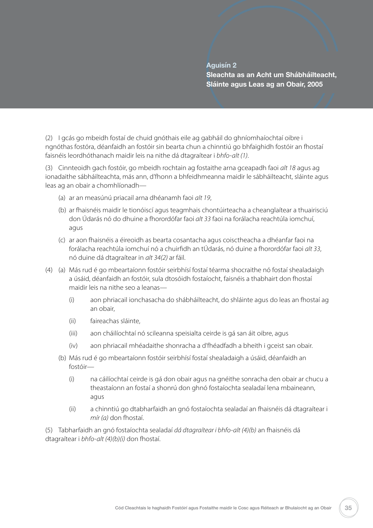(2) I gcás go mbeidh fostaí de chuid gnóthais eile ag gabháil do ghníomhaíochtaí oibre i ngnóthas fostóra, déanfaidh an fostóir sin bearta chun a chinntiú go bhfaighidh fostóir an fhostaí faisnéis leordhóthanach maidir leis na nithe dá dtagraítear i *bhfo-alt (1)*.

(3) Cinnteoidh gach fostóir, go mbeidh rochtain ag fostaithe arna gceapadh faoi *alt 18* agus ag ionadaithe sábháilteachta, más ann, d'fhonn a bhfeidhmeanna maidir le sábháilteacht, sláinte agus leas ag an obair a chomhlíonadh—

- (a) ar an measúnú priacail arna dhéanamh faoi *alt 19*,
- (b) ar fhaisnéis maidir le tionóiscí agus teagmhais chontúirteacha a cheanglaítear a thuairisciú don Údarás nó do dhuine a fhorordófar faoi *alt 33* faoi na forálacha reachtúla iomchuí, agus
- (c) ar aon fhaisnéis a éireoidh as bearta cosantacha agus coisctheacha a dhéanfar faoi na forálacha reachtúla iomchuí nó a chuirfidh an tÚdarás, nó duine a fhorordófar faoi *alt 33*, nó duine dá dtagraítear in *alt 34(2)* ar fáil.
- (4) (a) Más rud é go mbeartaíonn fostóir seirbhísí fostaí téarma shocraithe nó fostaí shealadaigh a úsáid, déanfaidh an fostóir, sula dtosóidh fostaíocht, faisnéis a thabhairt don fhostaí maidir leis na nithe seo a leanas—
	- (i) aon phriacail ionchasacha do shábháilteacht, do shláinte agus do leas an fhostaí ag an obair,
	- (ii) faireachas sláinte,
	- (iii) aon cháilíochtaí nó scileanna speisialta ceirde is gá san áit oibre, agus
	- (iv) aon phriacail mhéadaithe shonracha a d'fhéadfadh a bheith i gceist san obair.
	- (b) Más rud é go mbeartaíonn fostóir seirbhísí fostaí shealadaigh a úsáid, déanfaidh an fostóir—
		- (i) na cáilíochtaí ceirde is gá don obair agus na gnéithe sonracha den obair ar chucu a theastaíonn an fostaí a shonrú don ghnó fostaíochta sealadaí lena mbaineann, agus
		- (ii) a chinntiú go dtabharfaidh an gnó fostaíochta sealadaí an fhaisnéis dá dtagraítear i *mír (a)* don fhostaí.

(5) Tabharfaidh an gnó fostaíochta sealadaí *dá dtagraítear i bhfo-alt (4)(b)* an fhaisnéis dá dtagraítear i *bhfo-alt (4)(b)(i)* don fhostaí.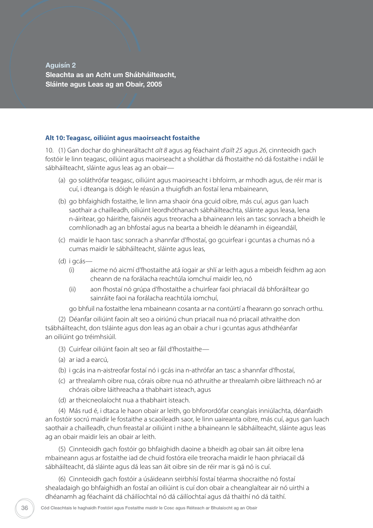#### **Aguisín 2**

**Sleachta as an Acht um Shábháilteacht, Sláinte agus Leas ag an Obair, 2005**

#### **Alt 10: Teagasc, oiliúint agus maoirseacht fostaithe**

10. (1) Gan dochar do ghinearáltacht *alt 8* agus ag féachaint *d'ailt 25* agus *26*, cinnteoidh gach fostóir le linn teagasc, oiliúint agus maoirseacht a sholáthar dá fhostaithe nó dá fostaithe i ndáil le sábháilteacht, sláinte agus leas ag an obair—

- (a) go soláthrófar teagasc, oiliúint agus maoirseacht i bhfoirm, ar mhodh agus, de réir mar is cuí, i dteanga is dóigh le réasún a thuigfidh an fostaí lena mbaineann,
- (b) go bhfaighidh fostaithe, le linn ama shaoir óna gcuid oibre, más cuí, agus gan luach saothair a chailleadh, oiliúint leordhóthanach sábháilteachta, sláinte agus leasa, lena n-áirítear, go háirithe, faisnéis agus treoracha a bhaineann leis an tasc sonrach a bheidh le comhlíonadh ag an bhfostaí agus na bearta a bheidh le déanamh in éigeandáil,
- (c) maidir le haon tasc sonrach a shannfar d'fhostaí, go gcuirfear i gcuntas a chumas nó a cumas maidir le sábháilteacht, sláinte agus leas,
- (d) i gcás—
	- (i) aicme nó aicmí d'fhostaithe atá íogair ar shlí ar leith agus a mbeidh feidhm ag aon cheann de na forálacha reachtúla iomchuí maidir leo, nó
	- (ii) aon fhostaí nó grúpa d'fhostaithe a chuirfear faoi phriacail dá bhforáiltear go sainráite faoi na forálacha reachtúla iomchuí,

go bhfuil na fostaithe lena mbaineann cosanta ar na contúirtí a fhearann go sonrach orthu.

(2) Déanfar oiliúint faoin alt seo a oiriúnú chun priacail nua nó priacail athraithe don tsábháilteacht, don tsláinte agus don leas ag an obair a chur i gcuntas agus athdhéanfar an oiliúint go tréimhsiúil.

- (3) Cuirfear oiliúint faoin alt seo ar fáil d'fhostaithe—
- (a) ar iad a earcú,
- (b) i gcás ina n-aistreofar fostaí nó i gcás ina n-athrófar an tasc a shannfar d'fhostaí,
- (c) ar threalamh oibre nua, córais oibre nua nó athruithe ar threalamh oibre láithreach nó ar chórais oibre láithreacha a thabhairt isteach, agus
- (d) ar theicneolaíocht nua a thabhairt isteach.

(4) Más rud é, i dtaca le haon obair ar leith, go bhforordófar ceanglais inniúlachta, déanfaidh an fostóir socrú maidir le fostaithe a scaoileadh saor, le linn uaireanta oibre, más cuí, agus gan luach saothair a chailleadh, chun freastal ar oiliúint i nithe a bhaineann le sábháilteacht, sláinte agus leas ag an obair maidir leis an obair ar leith.

(5) Cinnteoidh gach fostóir go bhfaighidh daoine a bheidh ag obair san áit oibre lena mbaineann agus ar fostaithe iad de chuid fostóra eile treoracha maidir le haon phriacail dá sábháilteacht, dá sláinte agus dá leas san áit oibre sin de réir mar is gá nó is cuí.

(6) Cinnteoidh gach fostóir a úsáideann seirbhísí fostaí téarma shocraithe nó fostaí shealadaigh go bhfaighidh an fostaí an oiliúint is cuí don obair a cheanglaítear air nó uirthi a dhéanamh ag féachaint dá cháilíochtaí nó dá cáilíochtaí agus dá thaithí nó dá taithí.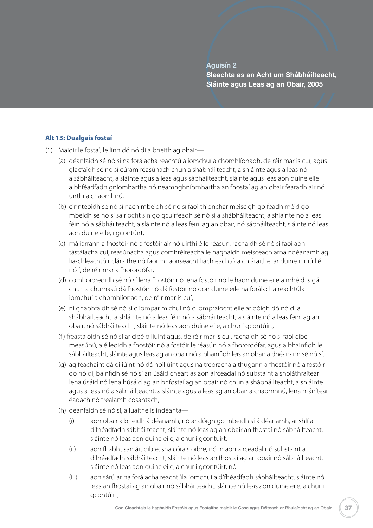#### **Alt 13: Dualgais fostaí**

- (1) Maidir le fostaí, le linn dó nó di a bheith ag obair—
	- (a) déanfaidh sé nó sí na forálacha reachtúla iomchuí a chomhlíonadh, de réir mar is cuí, agus glacfaidh sé nó sí cúram réasúnach chun a shábháilteacht, a shláinte agus a leas nó a sábháilteacht, a sláinte agus a leas agus sábháilteacht, sláinte agus leas aon duine eile a bhféadfadh gníomhartha nó neamhghníomhartha an fhostaí ag an obair fearadh air nó uirthi a chaomhnú,
	- (b) cinnteoidh sé nó sí nach mbeidh sé nó sí faoi thionchar meiscigh go feadh méid go mbeidh sé nó sí sa riocht sin go gcuirfeadh sé nó sí a shábháilteacht, a shláinte nó a leas féin nó a sábháilteacht, a sláinte nó a leas féin, ag an obair, nó sábháilteacht, sláinte nó leas aon duine eile, i gcontúirt,
	- (c) má iarrann a fhostóir nó a fostóir air nó uirthi é le réasún, rachaidh sé nó sí faoi aon tástálacha cuí, réasúnacha agus comhréireacha le haghaidh meisceach arna ndéanamh ag lia-chleachtóir cláraithe nó faoi mhaoirseacht liachleachtóra chláraithe, ar duine inniúil é nó í, de réir mar a fhorordófar,
	- (d) comhoibreoidh sé nó sí lena fhostóir nó lena fostóir nó le haon duine eile a mhéid is gá chun a chumasú dá fhostóir nó dá fostóir nó don duine eile na forálacha reachtúla iomchuí a chomhlíonadh, de réir mar is cuí,
	- (e) ní ghabhfaidh sé nó sí d'iompar míchuí nó d'iompraíocht eile ar dóigh dó nó di a shábháilteacht, a shláinte nó a leas féin nó a sábháilteacht, a sláinte nó a leas féin, ag an obair, nó sábháilteacht, sláinte nó leas aon duine eile, a chur i gcontúirt,
	- (f) freastalóidh sé nó sí ar cibé oiliúint agus, de réir mar is cuí, rachaidh sé nó sí faoi cibé measúnú, a éileoidh a fhostóir nó a fostóir le réasún nó a fhorordófar, agus a bhainfidh le sábháilteacht, sláinte agus leas ag an obair nó a bhainfidh leis an obair a dhéanann sé nó sí,
	- (g) ag féachaint dá oiliúint nó dá hoiliúint agus na treoracha a thugann a fhostóir nó a fostóir dó nó di, bainfidh sé nó sí an úsáid cheart as aon airceadal nó substaint a sholáthraítear lena úsáid nó lena húsáid ag an bhfostaí ag an obair nó chun a shábháilteacht, a shláinte agus a leas nó a sábháilteacht, a sláinte agus a leas ag an obair a chaomhnú, lena n-áirítear éadach nó trealamh cosantach,
	- (h) déanfaidh sé nó sí, a luaithe is indéanta—
		- (i) aon obair a bheidh á déanamh, nó ar dóigh go mbeidh sí á déanamh, ar shlí a d'fhéadfadh sábháilteacht, sláinte nó leas ag an obair an fhostaí nó sábháilteacht, sláinte nó leas aon duine eile, a chur i gcontúirt,
		- (ii) aon fhabht san áit oibre, sna córais oibre, nó in aon airceadal nó substaint a d'fhéadfadh sábháilteacht, sláinte nó leas an fhostaí ag an obair nó sábháilteacht, sláinte nó leas aon duine eile, a chur i gcontúirt, nó
		- (iii) aon sárú ar na forálacha reachtúla iomchuí a d'fhéadfadh sábháilteacht, sláinte nó leas an fhostaí ag an obair nó sábháilteacht, sláinte nó leas aon duine eile, a chur i gcontúirt,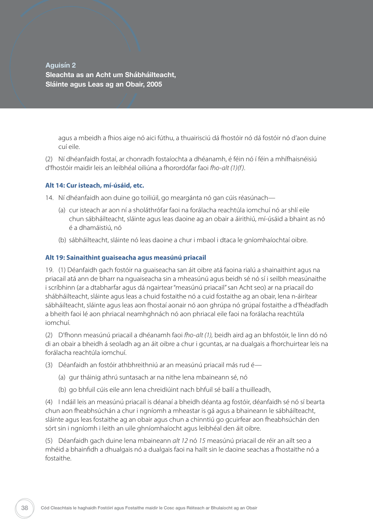agus a mbeidh a fhios aige nó aici fúthu, a thuairisciú dá fhostóir nó dá fostóir nó d'aon duine cuí eile.

(2) Ní dhéanfaidh fostaí, ar chonradh fostaíochta a dhéanamh, é féin nó í féin a mhífhaisnéisiú d'fhostóir maidir leis an leibhéal oiliúna a fhorordófar faoi *fho-alt (1)(f )*.

#### **Alt 14: Cur isteach, mí-úsáid, etc.**

14. Ní dhéanfaidh aon duine go toiliúil, go meargánta nó gan cúis réasúnach—

- (a) cur isteach ar aon ní a sholáthrófar faoi na forálacha reachtúla iomchuí nó ar shlí eile chun sábháilteacht, sláinte agus leas daoine ag an obair a áirithiú, mí-úsáid a bhaint as nó é a dhamáistiú, nó
- (b) sábháilteacht, sláinte nó leas daoine a chur i mbaol i dtaca le gníomhaíochtaí oibre.

#### **Alt 19: Sainaithint guaiseacha agus measúnú priacail**

19. (1) Déanfaidh gach fostóir na guaiseacha san áit oibre atá faoina rialú a shainaithint agus na priacail atá ann de bharr na nguaiseacha sin a mheasúnú agus beidh sé nó sí i seilbh measúnaithe i scríbhinn (ar a dtabharfar agus dá ngairtear "measúnú priacail" san Acht seo) ar na priacail do shábháilteacht, sláinte agus leas a chuid fostaithe nó a cuid fostaithe ag an obair, lena n-áirítear sábháilteacht, sláinte agus leas aon fhostaí aonair nó aon ghrúpa nó grúpaí fostaithe a d'fhéadfadh a bheith faoi lé aon phriacal neamhghnách nó aon phriacal eile faoi na forálacha reachtúla iomchuí.

(2) D'fhonn measúnú priacail a dhéanamh faoi *fho-alt (1),* beidh aird ag an bhfostóir, le linn dó nó di an obair a bheidh á seoladh ag an áit oibre a chur i gcuntas, ar na dualgais a fhorchuirtear leis na forálacha reachtúla iomchuí.

(3) Déanfaidh an fostóir athbhreithniú ar an measúnú priacail más rud é—

- (a) gur tháinig athrú suntasach ar na nithe lena mbaineann sé, nó
- (b) go bhfuil cúis eile ann lena chreidiúint nach bhfuil sé bailí a thuilleadh,

(4) I ndáil leis an measúnú priacail is déanaí a bheidh déanta ag fostóir, déanfaidh sé nó sí bearta chun aon fheabhsúchán a chur i ngníomh a mheastar is gá agus a bhaineann le sábháilteacht, sláinte agus leas fostaithe ag an obair agus chun a chinntiú go gcuirfear aon fheabhsúchán den sórt sin i ngníomh i leith an uile ghníomhaíocht agus leibhéal den áit oibre.

(5) Déanfaidh gach duine lena mbaineann *alt 12* nó *15* measúnú priacail de réir an ailt seo a mhéid a bhainfidh a dhualgais nó a dualgais faoi na hailt sin le daoine seachas a fhostaithe nó a fostaithe.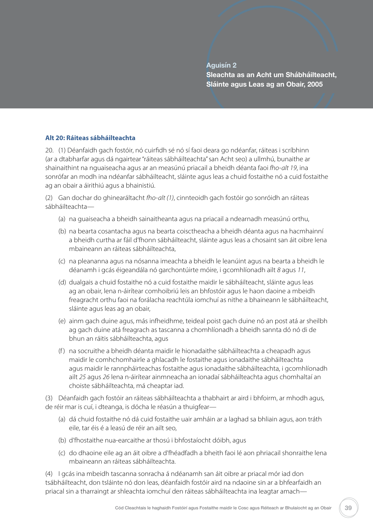#### **Alt 20: Ráiteas sábháilteachta**

20. (1) Déanfaidh gach fostóir, nó cuirfidh sé nó sí faoi deara go ndéanfar, ráiteas i scríbhinn (ar a dtabharfar agus dá ngairtear "ráiteas sábháilteachta" san Acht seo) a ullmhú, bunaithe ar shainaithint na nguaiseacha agus ar an measúnú priacail a bheidh déanta faoi *fho-alt 19*, ina sonrófar an modh ina ndéanfar sábháilteacht, sláinte agus leas a chuid fostaithe nó a cuid fostaithe ag an obair a áirithiú agus a bhainistiú.

(2) Gan dochar do ghinearáltacht *fho-alt (1)*, cinnteoidh gach fostóir go sonróidh an ráiteas sábháilteachta—

- (a) na guaiseacha a bheidh sainaitheanta agus na priacail a ndearnadh measúnú orthu,
- (b) na bearta cosantacha agus na bearta coisctheacha a bheidh déanta agus na hacmhainní a bheidh curtha ar fáil d'fhonn sábháilteacht, sláinte agus leas a chosaint san áit oibre lena mbaineann an ráiteas sábháilteachta,
- (c) na pleananna agus na nósanna imeachta a bheidh le leanúint agus na bearta a bheidh le déanamh i gcás éigeandála nó garchontúirte móire, i gcomhlíonadh ailt *8* agus *11*,
- (d) dualgais a chuid fostaithe nó a cuid fostaithe maidir le sábháilteacht, sláinte agus leas ag an obair, lena n-áirítear comhoibriú leis an bhfostóir agus le haon daoine a mbeidh freagracht orthu faoi na forálacha reachtúla iomchuí as nithe a bhaineann le sábháilteacht, sláinte agus leas ag an obair,
- (e) ainm gach duine agus, más infheidhme, teideal poist gach duine nó an post atá ar sheilbh ag gach duine atá freagrach as tascanna a chomhlíonadh a bheidh sannta dó nó di de bhun an ráitis sábháilteachta, agus
- (f) na socruithe a bheidh déanta maidir le hionadaithe sábháilteachta a cheapadh agus maidir le comhchomhairle a ghlacadh le fostaithe agus ionadaithe sábháilteachta agus maidir le rannpháirteachas fostaithe agus ionadaithe sábháilteachta, i gcomhlíonadh ailt *25* agus *26* lena n-áirítear ainmneacha an ionadaí sábháilteachta agus chomhaltaí an choiste sábháilteachta, má cheaptar iad.

(3) Déanfaidh gach fostóir an ráiteas sábháilteachta a thabhairt ar aird i bhfoirm, ar mhodh agus, de réir mar is cuí, i dteanga, is dócha le réasún a thuigfear—

- (a) dá chuid fostaithe nó dá cuid fostaithe uair amháin ar a laghad sa bhliain agus, aon tráth eile, tar éis é a leasú de réir an ailt seo,
- (b) d'fhostaithe nua-earcaithe ar thosú i bhfostaíocht dóibh, agus
- (c) do dhaoine eile ag an áit oibre a d'fhéadfadh a bheith faoi lé aon phriacail shonraithe lena mbaineann an ráiteas sábháilteachta.

(4) I gcás ina mbeidh tascanna sonracha á ndéanamh san áit oibre ar priacal mór iad don tsábháilteacht, don tsláinte nó don leas, déanfaidh fostóir aird na ndaoine sin ar a bhfearfaidh an priacal sin a tharraingt ar shleachta iomchuí den ráiteas sábháilteachta ina leagtar amach-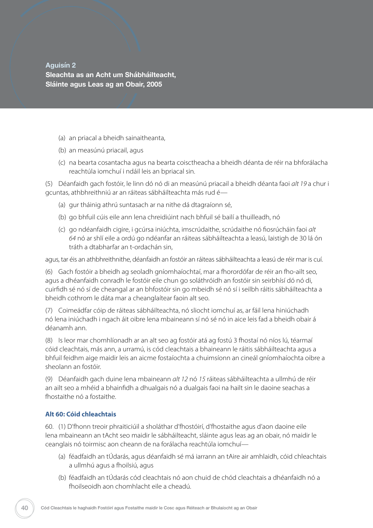#### **Aguisín 2**

**Sleachta as an Acht um Shábháilteacht, Sláinte agus Leas ag an Obair, 2005**

- (a) an priacal a bheidh sainaitheanta,
- (b) an measúnú priacail, agus
- (c) na bearta cosantacha agus na bearta coisctheacha a bheidh déanta de réir na bhforálacha reachtúla iomchuí i ndáil leis an bpriacal sin.

(5) Déanfaidh gach fostóir, le linn dó nó di an measúnú priacail a bheidh déanta faoi *alt 19* a chur i gcuntas, athbhreithniú ar an ráiteas sábháilteachta más rud é—

- (a) gur tháinig athrú suntasach ar na nithe dá dtagraíonn sé,
- (b) go bhfuil cúis eile ann lena chreidiúint nach bhfuil sé bailí a thuilleadh, nó
- (c) go ndéanfaidh cigire, i gcúrsa iniúchta, imscrúdaithe, scrúdaithe nó fiosrúcháin faoi *alt 64* nó ar shlí eile a ordú go ndéanfar an ráiteas sábháilteachta a leasú, laistigh de 30 lá ón tráth a dtabharfar an t-ordachán sin,

agus, tar éis an athbhreithnithe, déanfaidh an fostóir an ráiteas sábháilteachta a leasú de réir mar is cuí.

(6) Gach fostóir a bheidh ag seoladh gníomhaíochtaí, mar a fhorordófar de réir an fho-ailt seo, agus a dhéanfaidh conradh le fostóir eile chun go soláthróidh an fostóir sin seirbhísí dó nó di, cuirfidh sé nó sí de cheangal ar an bhfostóir sin go mbeidh sé nó sí i seilbh ráitis sábháilteachta a bheidh cothrom le dáta mar a cheanglaítear faoin alt seo.

(7) Coimeádfar cóip de ráiteas sábháilteachta, nó sliocht iomchuí as, ar fáil lena hiniúchadh nó lena iniúchadh i ngach áit oibre lena mbaineann sí nó sé nó in aice leis fad a bheidh obair á déanamh ann.

(8) Is leor mar chomhlíonadh ar an alt seo ag fostóir atá ag fostú 3 fhostaí nó níos lú, téarmaí cóid cleachtais, más ann, a urramú, is cód cleachtais a bhaineann le ráitis sábháilteachta agus a bhfuil feidhm aige maidir leis an aicme fostaíochta a chuimsíonn an cineál gníomhaíochta oibre a sheolann an fostóir.

(9) Déanfaidh gach duine lena mbaineann *alt 12* nó *15* ráiteas sábháilteachta a ullmhú de réir an ailt seo a mhéid a bhainfidh a dhualgais nó a dualgais faoi na hailt sin le daoine seachas a fhostaithe nó a fostaithe.

#### **Alt 60: Cóid chleachtais**

60. (1) D'fhonn treoir phraiticiúil a sholáthar d'fhostóirí, d'fhostaithe agus d'aon daoine eile lena mbaineann an tAcht seo maidir le sábháilteacht, sláinte agus leas ag an obair, nó maidir le ceanglais nó toirmisc aon cheann de na forálacha reachtúla iomchuí—

- (a) féadfaidh an tÚdarás, agus déanfaidh sé má iarrann an tAire air amhlaidh, cóid chleachtais a ullmhú agus a fhoilsiú, agus
- (b) féadfaidh an tÚdarás cód cleachtais nó aon chuid de chód cleachtais a dhéanfaidh nó a fhoilseoidh aon chomhlacht eile a cheadú.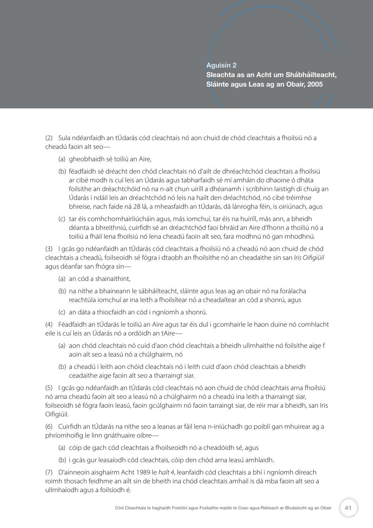(2) Sula ndéanfaidh an tÚdarás cód cleachtais nó aon chuid de chód cleachtais a fhoilsiú nó a cheadú faoin alt seo—

- (a) gheobhaidh sé toiliú an Aire,
- (b) féadfaidh sé dréacht den chód cleachtais nó d'ailt de dhréachtchód cleachtais a fhoilsiú ar cibé modh is cuí leis an Údarás agus tabharfaidh sé mí amháin do dhaoine ó dháta foilsithe an dréachtchóid nó na n-alt chun uiríll a dhéanamh i scríbhinn laistigh di chuig an Údarás i ndáil leis an dréachtchód nó leis na hailt den dréachtchód, nó cibé tréimhse bhreise, nach faide ná 28 lá, a mheasfaidh an tÚdarás, dá lánrogha féin, is oiriúnach, agus
- (c) tar éis comhchomhairliúcháin agus, más iomchuí, tar éis na huiríll, más ann, a bheidh déanta a bhreithniú, cuirfidh sé an dréachtchód faoi bhráid an Aire d'fhonn a thoiliú nó a toiliú a fháil lena fhoilsiú nó lena cheadú faoin alt seo, fara modhnú nó gan mhodhnú.

(3) I gcás go ndéanfaidh an tÚdarás cód cleachtais a fhoilsiú nó a cheadú nó aon chuid de chód cleachtais a cheadú, foilseoidh sé fógra i dtaobh an fhoilsithe nó an cheadaithe sin san *Iris Oifigiúil* agus déanfar san fhógra sin—

- (a) an cód a shainaithint,
- (b) na nithe a bhaineann le sábháilteacht, sláinte agus leas ag an obair nó na forálacha reachtúla iomchuí ar ina leith a fhoilsítear nó a cheadaítear an cód a shonrú, agus
- (c) an dáta a thiocfaidh an cód i ngníomh a shonrú.

(4) Féadfaidh an tÚdarás le toiliú an Aire agus tar éis dul i gcomhairle le haon duine nó comhlacht eile is cuí leis an Údarás nó a ordóidh an tAire—

- (a) aon chód cleachtais nó cuid d'aon chód cleachtais a bheidh ullmhaithe nó foilsithe aige f aoin alt seo a leasú nó a chúlghairm, nó
- (b) a cheadú i leith aon chóid cleachtais nó i leith cuid d'aon chód cleachtais a bheidh ceadaithe aige faoin alt seo a tharraingt siar.

(5) I gcás go ndéanfaidh an tÚdarás cód cleachtais nó aon chuid de chód cleachtais arna fhoilsiú nó arna cheadú faoin alt seo a leasú nó a chúlghairm nó a cheadú ina leith a tharraingt siar, foilseoidh sé fógra faoin leasú, faoin gcúlghairm nó faoin tarraingt siar, de réir mar a bheidh, san Iris Oifigiúil.

(6) Cuirfidh an tÚdarás na nithe seo a leanas ar fáil lena n-iniúchadh go poiblí gan mhuirear ag a phríomhoifig le linn gnáthuaire oibre—

- (a) cóip de gach cód cleachtais a fhoilseoidh nó a cheadóidh sé, agus
- (b) i gcás gur leasaíodh cód cleachtais, cóip den chód arna leasú amhlaidh.

(7) D'ainneoin aisghairm Acht 1989 le *halt 4*, leanfaidh cód cleachtais a bhí i ngníomh díreach roimh thosach feidhme an ailt sin de bheith ina chód cleachtais amhail is dá mba faoin alt seo a ullmhaíodh agus a foilsíodh é.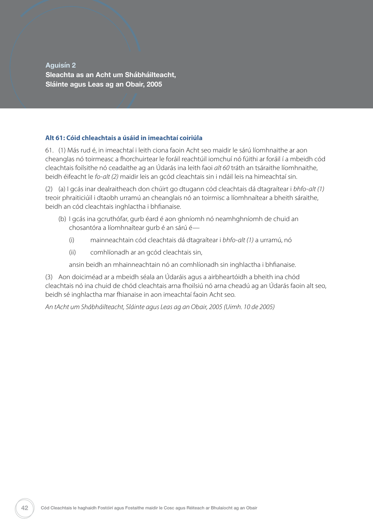#### **Alt 61: Cóid chleachtais a úsáid in imeachtaí coiriúla**

61. (1) Más rud é, in imeachtaí i leith ciona faoin Acht seo maidir le sárú líomhnaithe ar aon cheanglas nó toirmeasc a fhorchuirtear le foráil reachtúil iomchuí nó fúithi ar foráil í a mbeidh cód cleachtais foilsithe nó ceadaithe ag an Údarás ina leith faoi *alt 60* tráth an tsáraithe líomhnaithe, beidh éifeacht le *fo-alt (2)* maidir leis an gcód cleachtais sin i ndáil leis na himeachtaí sin.

(2) (a) I gcás inar dealraitheach don chúirt go dtugann cód cleachtais dá dtagraítear i *bhfo-alt (1)* treoir phraiticiúil i dtaobh urramú an cheanglais nó an toirmisc a líomhnaítear a bheith sáraithe, beidh an cód cleachtais inghlactha i bhfianaise.

- (b) I gcás ina gcruthófar, gurb éard é aon ghníomh nó neamhghníomh de chuid an chosantóra a líomhnaítear gurb é an sárú é—
	- (i) mainneachtain cód cleachtais dá dtagraítear i *bhfo-alt (1)* a urramú, nó
	- (ii) comhlíonadh ar an gcód cleachtais sin,

ansin beidh an mhainneachtain nó an comhlíonadh sin inghlactha i bhfianaise.

(3) Aon doiciméad ar a mbeidh séala an Údaráis agus a airbheartóidh a bheith ina chód cleachtais nó ina chuid de chód cleachtais arna fhoilsiú nó arna cheadú ag an Údarás faoin alt seo, beidh sé inghlactha mar fhianaise in aon imeachtaí faoin Acht seo.

*An tAcht um Shábháilteacht, Sláinte agus Leas ag an Obair, 2005 (Uimh. 10 de 2005)*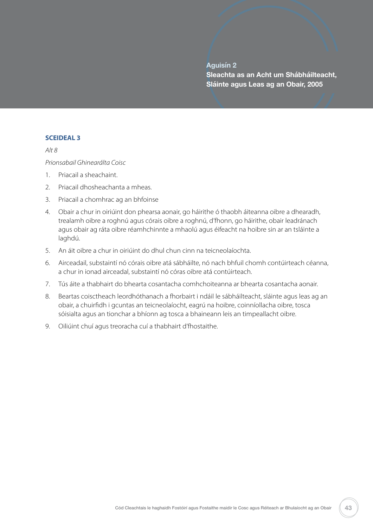## **Aguisín 2**

**Sleachta as an Acht um Shábháilteacht, Sláinte agus Leas ag an Obair, 2005**

#### **SCEIDEAL 3**

*Alt 8*

*Prionsabail Ghinearálta Coisc*

- 1. Priacail a sheachaint.
- 2. Priacail dhosheachanta a mheas.
- 3. Priacail a chomhrac ag an bhfoinse
- 4. Obair a chur in oiriúint don phearsa aonair, go háirithe ó thaobh áiteanna oibre a dhearadh, trealamh oibre a roghnú agus córais oibre a roghnú, d'fhonn, go háirithe, obair leadránach agus obair ag ráta oibre réamhchinnte a mhaolú agus éifeacht na hoibre sin ar an tsláinte a laghdú.
- 5. An áit oibre a chur in oiriúint do dhul chun cinn na teicneolaíochta.
- 6. Airceadail, substaintí nó córais oibre atá sábháilte, nó nach bhfuil chomh contúirteach céanna, a chur in ionad airceadal, substaintí nó córas oibre atá contúirteach.
- 7. Tús áite a thabhairt do bhearta cosantacha comhchoiteanna ar bhearta cosantacha aonair.
- 8. Beartas coisctheach leordhóthanach a fhorbairt i ndáil le sábháilteacht, sláinte agus leas ag an obair, a chuirfidh i gcuntas an teicneolaíocht, eagrú na hoibre, coinníollacha oibre, tosca sóisialta agus an tionchar a bhíonn ag tosca a bhaineann leis an timpeallacht oibre.
- 9. Oiliúint chuí agus treoracha cuí a thabhairt d'fhostaithe.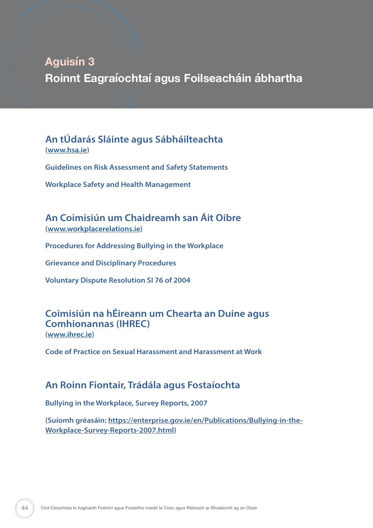# **Aguisín 3**

**Roinnt Eagraíochtaí agus Foilseacháin ábhartha**

## **An tÚdarás Sláinte agus Sábháilteachta [\(www.hsa.ie\)](www.hsa.ie)**

**Guidelines on Risk Assessment and Safety Statements** 

**Workplace Safety and Health Management**

**An Coimisiún um Chaidreamh san Áit Oibre [\(www.workplacerelations.ie\)](www.workplacerelations.ie)**

**Procedures for Addressing Bullying in the Workplace**

**Grievance and Disciplinary Procedures**

**Voluntary Dispute Resolution SI 76 of 2004**

## **Coimisiún na hÉireann um Chearta an Duine agus Comhionannas (IHREC) [\(www.ihrec.ie\)](www.ihrec.ie)**

**Code of Practice on Sexual Harassment and Harassment at Work**

## **An Roinn Fiontair, Trádála agus Fostaíochta**

**Bullying in the Workplace, Survey Reports, 2007** 

**(Suíomh gréasáin: https://enterprise.gov.ie/en/Publications/Bullying-in-the-Workplace-Survey-Reports-2007.html)**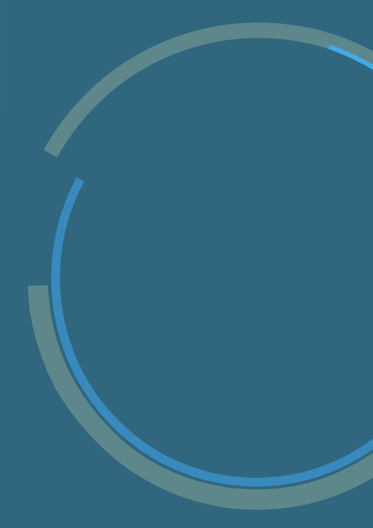